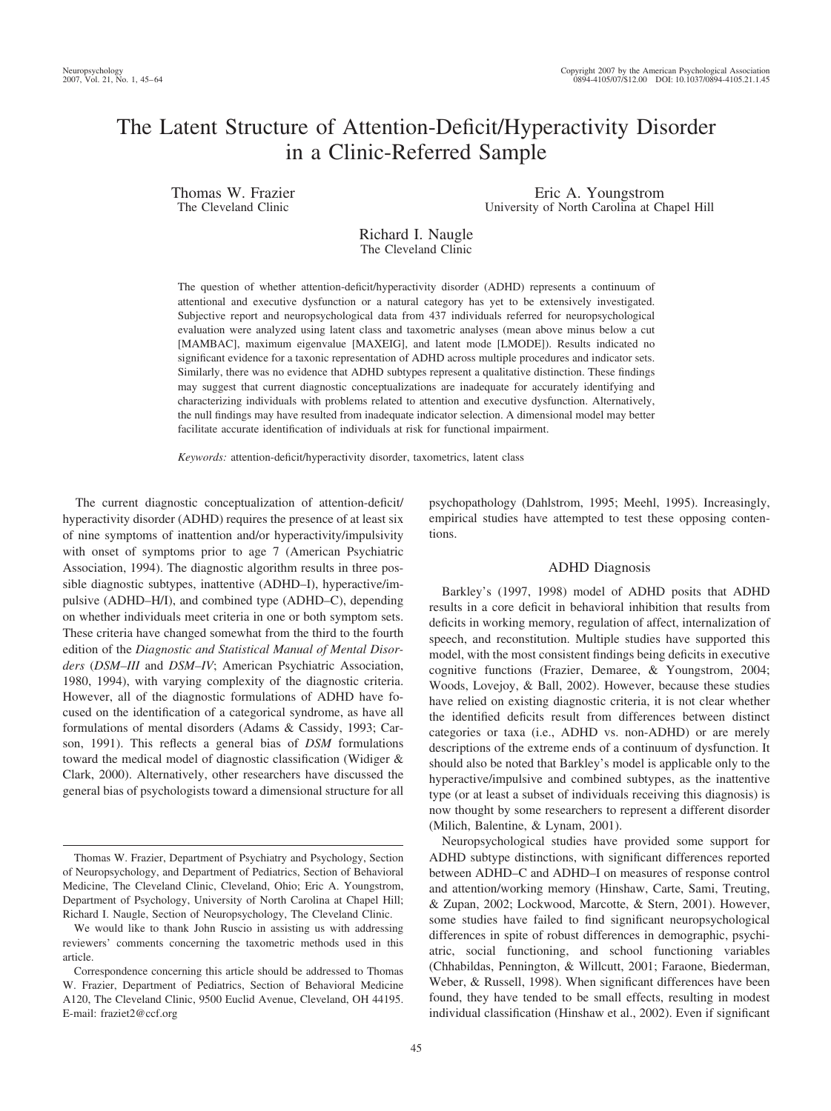# The Latent Structure of Attention-Deficit/Hyperactivity Disorder in a Clinic-Referred Sample

Thomas W. Frazier The Cleveland Clinic

Eric A. Youngstrom University of North Carolina at Chapel Hill

# Richard I. Naugle The Cleveland Clinic

The question of whether attention-deficit/hyperactivity disorder (ADHD) represents a continuum of attentional and executive dysfunction or a natural category has yet to be extensively investigated. Subjective report and neuropsychological data from 437 individuals referred for neuropsychological evaluation were analyzed using latent class and taxometric analyses (mean above minus below a cut [MAMBAC], maximum eigenvalue [MAXEIG], and latent mode [LMODE]). Results indicated no significant evidence for a taxonic representation of ADHD across multiple procedures and indicator sets. Similarly, there was no evidence that ADHD subtypes represent a qualitative distinction. These findings may suggest that current diagnostic conceptualizations are inadequate for accurately identifying and characterizing individuals with problems related to attention and executive dysfunction. Alternatively, the null findings may have resulted from inadequate indicator selection. A dimensional model may better facilitate accurate identification of individuals at risk for functional impairment.

*Keywords:* attention-deficit/hyperactivity disorder, taxometrics, latent class

The current diagnostic conceptualization of attention-deficit/ hyperactivity disorder (ADHD) requires the presence of at least six of nine symptoms of inattention and/or hyperactivity/impulsivity with onset of symptoms prior to age 7 (American Psychiatric Association, 1994). The diagnostic algorithm results in three possible diagnostic subtypes, inattentive (ADHD–I), hyperactive/impulsive (ADHD–H/I), and combined type (ADHD–C), depending on whether individuals meet criteria in one or both symptom sets. These criteria have changed somewhat from the third to the fourth edition of the *Diagnostic and Statistical Manual of Mental Disorders* (*DSM–III* and *DSM–IV*; American Psychiatric Association, 1980, 1994), with varying complexity of the diagnostic criteria. However, all of the diagnostic formulations of ADHD have focused on the identification of a categorical syndrome, as have all formulations of mental disorders (Adams & Cassidy, 1993; Carson, 1991). This reflects a general bias of *DSM* formulations toward the medical model of diagnostic classification (Widiger & Clark, 2000). Alternatively, other researchers have discussed the general bias of psychologists toward a dimensional structure for all psychopathology (Dahlstrom, 1995; Meehl, 1995). Increasingly, empirical studies have attempted to test these opposing contentions.

# ADHD Diagnosis

Barkley's (1997, 1998) model of ADHD posits that ADHD results in a core deficit in behavioral inhibition that results from deficits in working memory, regulation of affect, internalization of speech, and reconstitution. Multiple studies have supported this model, with the most consistent findings being deficits in executive cognitive functions (Frazier, Demaree, & Youngstrom, 2004; Woods, Lovejoy, & Ball, 2002). However, because these studies have relied on existing diagnostic criteria, it is not clear whether the identified deficits result from differences between distinct categories or taxa (i.e., ADHD vs. non-ADHD) or are merely descriptions of the extreme ends of a continuum of dysfunction. It should also be noted that Barkley's model is applicable only to the hyperactive/impulsive and combined subtypes, as the inattentive type (or at least a subset of individuals receiving this diagnosis) is now thought by some researchers to represent a different disorder (Milich, Balentine, & Lynam, 2001).

Neuropsychological studies have provided some support for ADHD subtype distinctions, with significant differences reported between ADHD–C and ADHD–I on measures of response control and attention/working memory (Hinshaw, Carte, Sami, Treuting, & Zupan, 2002; Lockwood, Marcotte, & Stern, 2001). However, some studies have failed to find significant neuropsychological differences in spite of robust differences in demographic, psychiatric, social functioning, and school functioning variables (Chhabildas, Pennington, & Willcutt, 2001; Faraone, Biederman, Weber, & Russell, 1998). When significant differences have been found, they have tended to be small effects, resulting in modest individual classification (Hinshaw et al., 2002). Even if significant

Thomas W. Frazier, Department of Psychiatry and Psychology, Section of Neuropsychology, and Department of Pediatrics, Section of Behavioral Medicine, The Cleveland Clinic, Cleveland, Ohio; Eric A. Youngstrom, Department of Psychology, University of North Carolina at Chapel Hill; Richard I. Naugle, Section of Neuropsychology, The Cleveland Clinic.

We would like to thank John Ruscio in assisting us with addressing reviewers' comments concerning the taxometric methods used in this article.

Correspondence concerning this article should be addressed to Thomas W. Frazier, Department of Pediatrics, Section of Behavioral Medicine A120, The Cleveland Clinic, 9500 Euclid Avenue, Cleveland, OH 44195. E-mail: fraziet2@ccf.org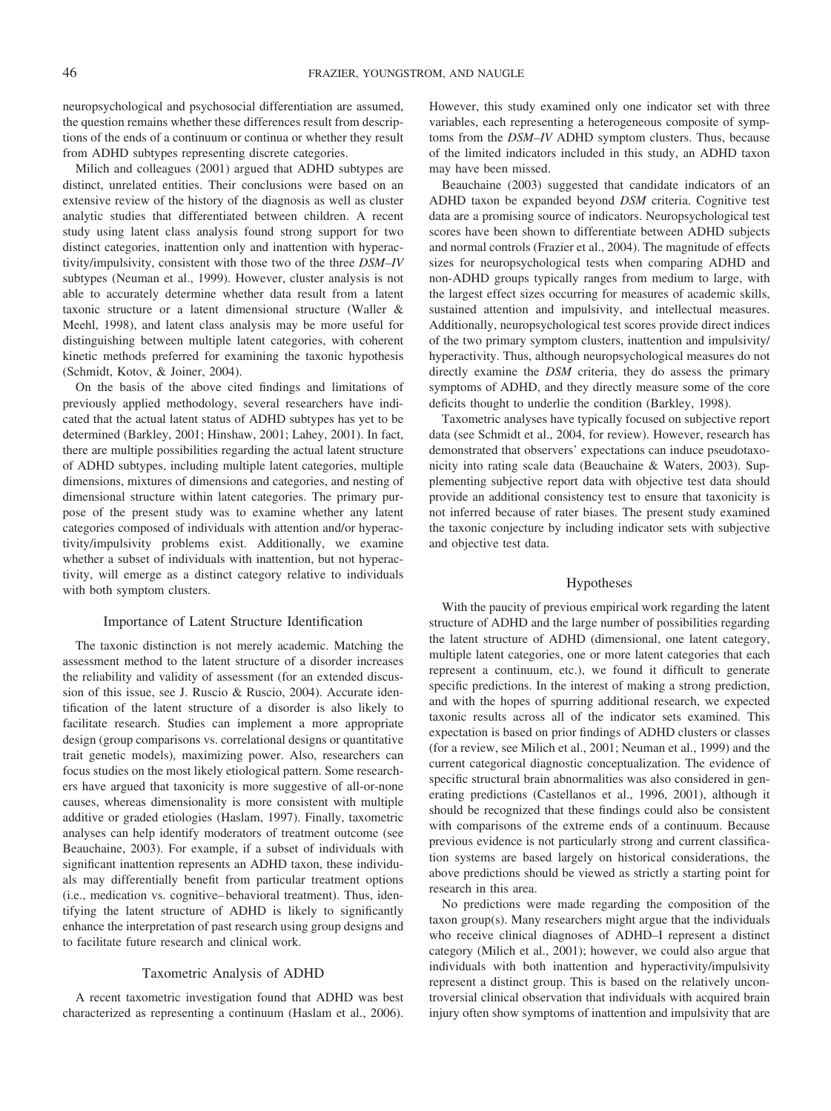neuropsychological and psychosocial differentiation are assumed, the question remains whether these differences result from descriptions of the ends of a continuum or continua or whether they result from ADHD subtypes representing discrete categories.

Milich and colleagues (2001) argued that ADHD subtypes are distinct, unrelated entities. Their conclusions were based on an extensive review of the history of the diagnosis as well as cluster analytic studies that differentiated between children. A recent study using latent class analysis found strong support for two distinct categories, inattention only and inattention with hyperactivity/impulsivity, consistent with those two of the three *DSM–IV* subtypes (Neuman et al., 1999). However, cluster analysis is not able to accurately determine whether data result from a latent taxonic structure or a latent dimensional structure (Waller & Meehl, 1998), and latent class analysis may be more useful for distinguishing between multiple latent categories, with coherent kinetic methods preferred for examining the taxonic hypothesis (Schmidt, Kotov, & Joiner, 2004).

On the basis of the above cited findings and limitations of previously applied methodology, several researchers have indicated that the actual latent status of ADHD subtypes has yet to be determined (Barkley, 2001; Hinshaw, 2001; Lahey, 2001). In fact, there are multiple possibilities regarding the actual latent structure of ADHD subtypes, including multiple latent categories, multiple dimensions, mixtures of dimensions and categories, and nesting of dimensional structure within latent categories. The primary purpose of the present study was to examine whether any latent categories composed of individuals with attention and/or hyperactivity/impulsivity problems exist. Additionally, we examine whether a subset of individuals with inattention, but not hyperactivity, will emerge as a distinct category relative to individuals with both symptom clusters.

#### Importance of Latent Structure Identification

The taxonic distinction is not merely academic. Matching the assessment method to the latent structure of a disorder increases the reliability and validity of assessment (for an extended discussion of this issue, see J. Ruscio & Ruscio, 2004). Accurate identification of the latent structure of a disorder is also likely to facilitate research. Studies can implement a more appropriate design (group comparisons vs. correlational designs or quantitative trait genetic models), maximizing power. Also, researchers can focus studies on the most likely etiological pattern. Some researchers have argued that taxonicity is more suggestive of all-or-none causes, whereas dimensionality is more consistent with multiple additive or graded etiologies (Haslam, 1997). Finally, taxometric analyses can help identify moderators of treatment outcome (see Beauchaine, 2003). For example, if a subset of individuals with significant inattention represents an ADHD taxon, these individuals may differentially benefit from particular treatment options (i.e., medication vs. cognitive– behavioral treatment). Thus, identifying the latent structure of ADHD is likely to significantly enhance the interpretation of past research using group designs and to facilitate future research and clinical work.

#### Taxometric Analysis of ADHD

A recent taxometric investigation found that ADHD was best characterized as representing a continuum (Haslam et al., 2006). However, this study examined only one indicator set with three variables, each representing a heterogeneous composite of symptoms from the *DSM–IV* ADHD symptom clusters. Thus, because of the limited indicators included in this study, an ADHD taxon may have been missed.

Beauchaine (2003) suggested that candidate indicators of an ADHD taxon be expanded beyond *DSM* criteria. Cognitive test data are a promising source of indicators. Neuropsychological test scores have been shown to differentiate between ADHD subjects and normal controls (Frazier et al., 2004). The magnitude of effects sizes for neuropsychological tests when comparing ADHD and non-ADHD groups typically ranges from medium to large, with the largest effect sizes occurring for measures of academic skills, sustained attention and impulsivity, and intellectual measures. Additionally, neuropsychological test scores provide direct indices of the two primary symptom clusters, inattention and impulsivity/ hyperactivity. Thus, although neuropsychological measures do not directly examine the *DSM* criteria, they do assess the primary symptoms of ADHD, and they directly measure some of the core deficits thought to underlie the condition (Barkley, 1998).

Taxometric analyses have typically focused on subjective report data (see Schmidt et al., 2004, for review). However, research has demonstrated that observers' expectations can induce pseudotaxonicity into rating scale data (Beauchaine & Waters, 2003). Supplementing subjective report data with objective test data should provide an additional consistency test to ensure that taxonicity is not inferred because of rater biases. The present study examined the taxonic conjecture by including indicator sets with subjective and objective test data.

## Hypotheses

With the paucity of previous empirical work regarding the latent structure of ADHD and the large number of possibilities regarding the latent structure of ADHD (dimensional, one latent category, multiple latent categories, one or more latent categories that each represent a continuum, etc.), we found it difficult to generate specific predictions. In the interest of making a strong prediction, and with the hopes of spurring additional research, we expected taxonic results across all of the indicator sets examined. This expectation is based on prior findings of ADHD clusters or classes (for a review, see Milich et al., 2001; Neuman et al., 1999) and the current categorical diagnostic conceptualization. The evidence of specific structural brain abnormalities was also considered in generating predictions (Castellanos et al., 1996, 2001), although it should be recognized that these findings could also be consistent with comparisons of the extreme ends of a continuum. Because previous evidence is not particularly strong and current classification systems are based largely on historical considerations, the above predictions should be viewed as strictly a starting point for research in this area.

No predictions were made regarding the composition of the taxon group(s). Many researchers might argue that the individuals who receive clinical diagnoses of ADHD–I represent a distinct category (Milich et al., 2001); however, we could also argue that individuals with both inattention and hyperactivity/impulsivity represent a distinct group. This is based on the relatively uncontroversial clinical observation that individuals with acquired brain injury often show symptoms of inattention and impulsivity that are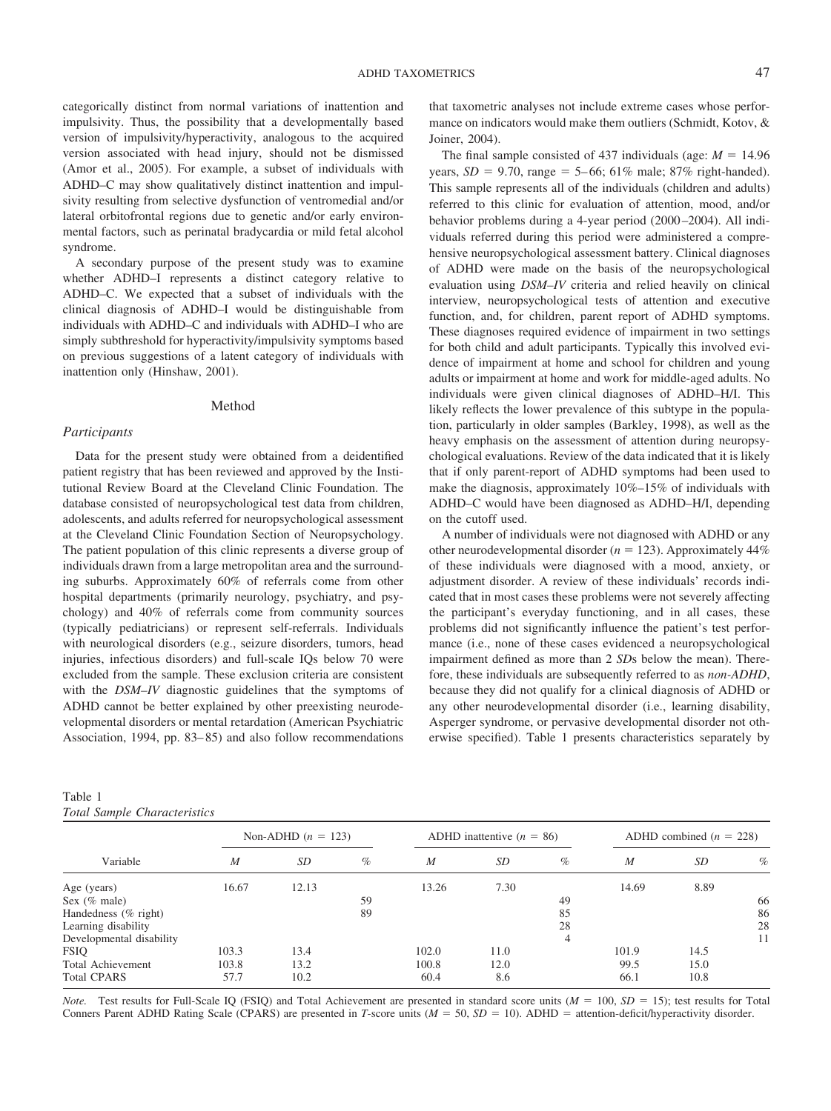categorically distinct from normal variations of inattention and impulsivity. Thus, the possibility that a developmentally based version of impulsivity/hyperactivity, analogous to the acquired version associated with head injury, should not be dismissed (Amor et al., 2005). For example, a subset of individuals with ADHD–C may show qualitatively distinct inattention and impulsivity resulting from selective dysfunction of ventromedial and/or lateral orbitofrontal regions due to genetic and/or early environmental factors, such as perinatal bradycardia or mild fetal alcohol syndrome.

A secondary purpose of the present study was to examine whether ADHD–I represents a distinct category relative to ADHD–C. We expected that a subset of individuals with the clinical diagnosis of ADHD–I would be distinguishable from individuals with ADHD–C and individuals with ADHD–I who are simply subthreshold for hyperactivity/impulsivity symptoms based on previous suggestions of a latent category of individuals with inattention only (Hinshaw, 2001).

## Method

#### *Participants*

Data for the present study were obtained from a deidentified patient registry that has been reviewed and approved by the Institutional Review Board at the Cleveland Clinic Foundation. The database consisted of neuropsychological test data from children, adolescents, and adults referred for neuropsychological assessment at the Cleveland Clinic Foundation Section of Neuropsychology. The patient population of this clinic represents a diverse group of individuals drawn from a large metropolitan area and the surrounding suburbs. Approximately 60% of referrals come from other hospital departments (primarily neurology, psychiatry, and psychology) and 40% of referrals come from community sources (typically pediatricians) or represent self-referrals. Individuals with neurological disorders (e.g., seizure disorders, tumors, head injuries, infectious disorders) and full-scale IQs below 70 were excluded from the sample. These exclusion criteria are consistent with the *DSM–IV* diagnostic guidelines that the symptoms of ADHD cannot be better explained by other preexisting neurodevelopmental disorders or mental retardation (American Psychiatric Association, 1994, pp. 83–85) and also follow recommendations

| Table 1 |                                     |
|---------|-------------------------------------|
|         | <b>Total Sample Characteristics</b> |

that taxometric analyses not include extreme cases whose performance on indicators would make them outliers (Schmidt, Kotov, & Joiner, 2004).

The final sample consisted of 437 individuals (age:  $M = 14.96$ years,  $SD = 9.70$ , range = 5–66; 61% male; 87% right-handed). This sample represents all of the individuals (children and adults) referred to this clinic for evaluation of attention, mood, and/or behavior problems during a 4-year period (2000 –2004). All individuals referred during this period were administered a comprehensive neuropsychological assessment battery. Clinical diagnoses of ADHD were made on the basis of the neuropsychological evaluation using *DSM–IV* criteria and relied heavily on clinical interview, neuropsychological tests of attention and executive function, and, for children, parent report of ADHD symptoms. These diagnoses required evidence of impairment in two settings for both child and adult participants. Typically this involved evidence of impairment at home and school for children and young adults or impairment at home and work for middle-aged adults. No individuals were given clinical diagnoses of ADHD–H/I. This likely reflects the lower prevalence of this subtype in the population, particularly in older samples (Barkley, 1998), as well as the heavy emphasis on the assessment of attention during neuropsychological evaluations. Review of the data indicated that it is likely that if only parent-report of ADHD symptoms had been used to make the diagnosis, approximately 10%–15% of individuals with ADHD–C would have been diagnosed as ADHD–H/I, depending on the cutoff used.

A number of individuals were not diagnosed with ADHD or any other neurodevelopmental disorder ( $n = 123$ ). Approximately  $44\%$ of these individuals were diagnosed with a mood, anxiety, or adjustment disorder. A review of these individuals' records indicated that in most cases these problems were not severely affecting the participant's everyday functioning, and in all cases, these problems did not significantly influence the patient's test performance (i.e., none of these cases evidenced a neuropsychological impairment defined as more than 2 *SD*s below the mean). Therefore, these individuals are subsequently referred to as *non-ADHD*, because they did not qualify for a clinical diagnosis of ADHD or any other neurodevelopmental disorder (i.e., learning disability, Asperger syndrome, or pervasive developmental disorder not otherwise specified). Table 1 presents characteristics separately by

|                          |                  | Non-ADHD $(n = 123)$ |      |                  | ADHD inattentive $(n = 86)$ | ADHD combined $(n = 228)$ |                  |      |      |
|--------------------------|------------------|----------------------|------|------------------|-----------------------------|---------------------------|------------------|------|------|
| Variable                 | $\boldsymbol{M}$ | SD                   | $\%$ | $\boldsymbol{M}$ | SD                          | $\%$                      | $\boldsymbol{M}$ | SD   | $\%$ |
| Age (years)              | 16.67            | 12.13                |      | 13.26            | 7.30                        |                           | 14.69            | 8.89 |      |
| Sex $(\%$ male)          |                  |                      | 59   |                  |                             | 49                        |                  |      | 66   |
| Handedness (% right)     |                  |                      | 89   |                  |                             | 85                        |                  |      | 86   |
| Learning disability      |                  |                      |      |                  |                             | 28                        |                  |      | 28   |
| Developmental disability |                  |                      |      |                  |                             | 4                         |                  |      | 11   |
| <b>FSIO</b>              | 103.3            | 13.4                 |      | 102.0            | 11.0                        |                           | 101.9            | 14.5 |      |
| <b>Total Achievement</b> | 103.8            | 13.2                 |      | 100.8            | 12.0                        |                           | 99.5             | 15.0 |      |
| <b>Total CPARS</b>       | 57.7             | 10.2                 |      | 60.4             | 8.6                         |                           | 66.1             | 10.8 |      |

*Note.* Test results for Full-Scale IQ (FSIQ) and Total Achievement are presented in standard score units  $(M = 100, SD = 15)$ ; test results for Total Conners Parent ADHD Rating Scale (CPARS) are presented in *T*-score units  $(M = 50, SD = 10)$ . ADHD = attention-deficit/hyperactivity disorder.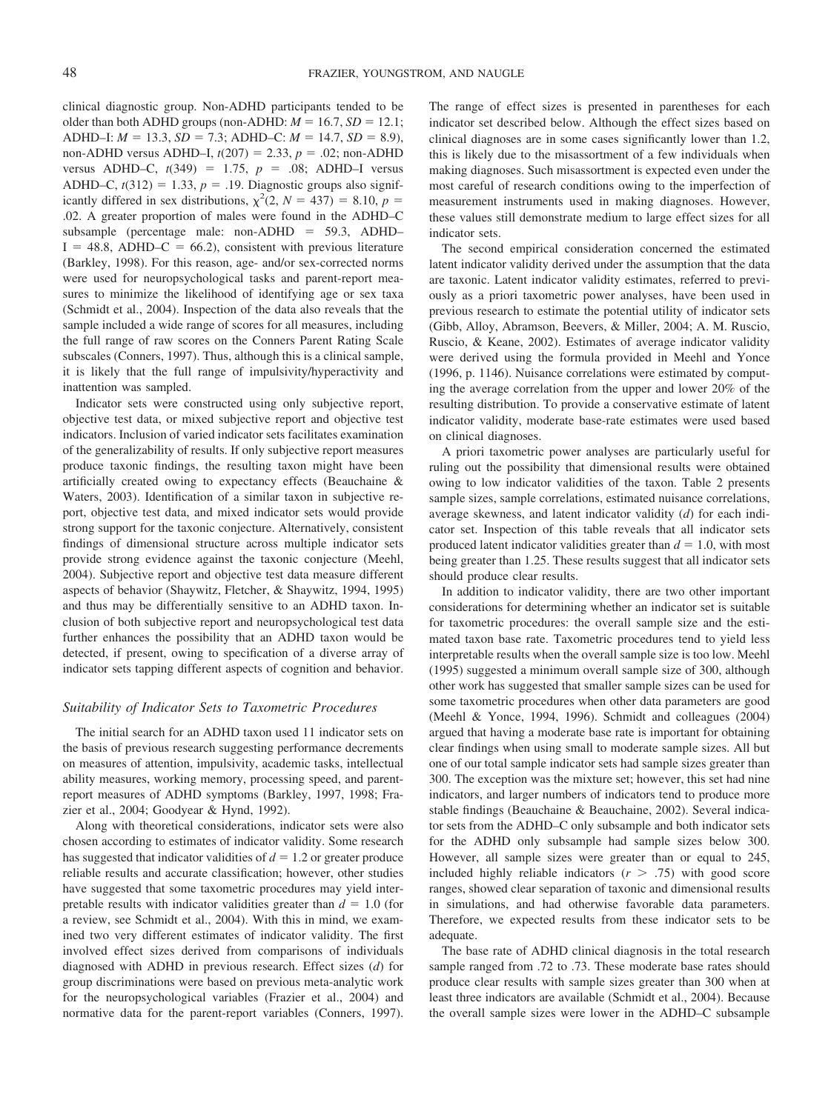clinical diagnostic group. Non-ADHD participants tended to be older than both ADHD groups (non-ADHD:  $M = 16.7$ ,  $SD = 12.1$ ; ADHD–I:  $M = 13.3$ ,  $SD = 7.3$ ; ADHD–C:  $M = 14.7$ ,  $SD = 8.9$ ), non-ADHD versus ADHD–I,  $t(207) = 2.33$ ,  $p = .02$ ; non-ADHD versus ADHD–C,  $t(349) = 1.75$ ,  $p = .08$ ; ADHD–I versus ADHD–C,  $t(312) = 1.33$ ,  $p = .19$ . Diagnostic groups also significantly differed in sex distributions,  $\chi^2(2, N = 437) = 8.10, p =$ .02. A greater proportion of males were found in the ADHD–C subsample (percentage male: non-ADHD  $=$  59.3, ADHD- $I = 48.8$ , ADHD–C = 66.2), consistent with previous literature (Barkley, 1998). For this reason, age- and/or sex-corrected norms were used for neuropsychological tasks and parent-report measures to minimize the likelihood of identifying age or sex taxa (Schmidt et al., 2004). Inspection of the data also reveals that the sample included a wide range of scores for all measures, including the full range of raw scores on the Conners Parent Rating Scale subscales (Conners, 1997). Thus, although this is a clinical sample, it is likely that the full range of impulsivity/hyperactivity and inattention was sampled.

Indicator sets were constructed using only subjective report, objective test data, or mixed subjective report and objective test indicators. Inclusion of varied indicator sets facilitates examination of the generalizability of results. If only subjective report measures produce taxonic findings, the resulting taxon might have been artificially created owing to expectancy effects (Beauchaine & Waters, 2003). Identification of a similar taxon in subjective report, objective test data, and mixed indicator sets would provide strong support for the taxonic conjecture. Alternatively, consistent findings of dimensional structure across multiple indicator sets provide strong evidence against the taxonic conjecture (Meehl, 2004). Subjective report and objective test data measure different aspects of behavior (Shaywitz, Fletcher, & Shaywitz, 1994, 1995) and thus may be differentially sensitive to an ADHD taxon. Inclusion of both subjective report and neuropsychological test data further enhances the possibility that an ADHD taxon would be detected, if present, owing to specification of a diverse array of indicator sets tapping different aspects of cognition and behavior.

# *Suitability of Indicator Sets to Taxometric Procedures*

The initial search for an ADHD taxon used 11 indicator sets on the basis of previous research suggesting performance decrements on measures of attention, impulsivity, academic tasks, intellectual ability measures, working memory, processing speed, and parentreport measures of ADHD symptoms (Barkley, 1997, 1998; Frazier et al., 2004; Goodyear & Hynd, 1992).

Along with theoretical considerations, indicator sets were also chosen according to estimates of indicator validity. Some research has suggested that indicator validities of  $d = 1.2$  or greater produce reliable results and accurate classification; however, other studies have suggested that some taxometric procedures may yield interpretable results with indicator validities greater than  $d = 1.0$  (for a review, see Schmidt et al., 2004). With this in mind, we examined two very different estimates of indicator validity. The first involved effect sizes derived from comparisons of individuals diagnosed with ADHD in previous research. Effect sizes (*d*) for group discriminations were based on previous meta-analytic work for the neuropsychological variables (Frazier et al., 2004) and normative data for the parent-report variables (Conners, 1997). The range of effect sizes is presented in parentheses for each indicator set described below. Although the effect sizes based on clinical diagnoses are in some cases significantly lower than 1.2, this is likely due to the misassortment of a few individuals when making diagnoses. Such misassortment is expected even under the most careful of research conditions owing to the imperfection of measurement instruments used in making diagnoses. However, these values still demonstrate medium to large effect sizes for all indicator sets.

The second empirical consideration concerned the estimated latent indicator validity derived under the assumption that the data are taxonic. Latent indicator validity estimates, referred to previously as a priori taxometric power analyses, have been used in previous research to estimate the potential utility of indicator sets (Gibb, Alloy, Abramson, Beevers, & Miller, 2004; A. M. Ruscio, Ruscio, & Keane, 2002). Estimates of average indicator validity were derived using the formula provided in Meehl and Yonce (1996, p. 1146). Nuisance correlations were estimated by computing the average correlation from the upper and lower 20% of the resulting distribution. To provide a conservative estimate of latent indicator validity, moderate base-rate estimates were used based on clinical diagnoses.

A priori taxometric power analyses are particularly useful for ruling out the possibility that dimensional results were obtained owing to low indicator validities of the taxon. Table 2 presents sample sizes, sample correlations, estimated nuisance correlations, average skewness, and latent indicator validity (*d*) for each indicator set. Inspection of this table reveals that all indicator sets produced latent indicator validities greater than  $d = 1.0$ , with most being greater than 1.25. These results suggest that all indicator sets should produce clear results.

In addition to indicator validity, there are two other important considerations for determining whether an indicator set is suitable for taxometric procedures: the overall sample size and the estimated taxon base rate. Taxometric procedures tend to yield less interpretable results when the overall sample size is too low. Meehl (1995) suggested a minimum overall sample size of 300, although other work has suggested that smaller sample sizes can be used for some taxometric procedures when other data parameters are good (Meehl & Yonce, 1994, 1996). Schmidt and colleagues (2004) argued that having a moderate base rate is important for obtaining clear findings when using small to moderate sample sizes. All but one of our total sample indicator sets had sample sizes greater than 300. The exception was the mixture set; however, this set had nine indicators, and larger numbers of indicators tend to produce more stable findings (Beauchaine & Beauchaine, 2002). Several indicator sets from the ADHD–C only subsample and both indicator sets for the ADHD only subsample had sample sizes below 300. However, all sample sizes were greater than or equal to 245, included highly reliable indicators  $(r > .75)$  with good score ranges, showed clear separation of taxonic and dimensional results in simulations, and had otherwise favorable data parameters. Therefore, we expected results from these indicator sets to be adequate.

The base rate of ADHD clinical diagnosis in the total research sample ranged from .72 to .73. These moderate base rates should produce clear results with sample sizes greater than 300 when at least three indicators are available (Schmidt et al., 2004). Because the overall sample sizes were lower in the ADHD–C subsample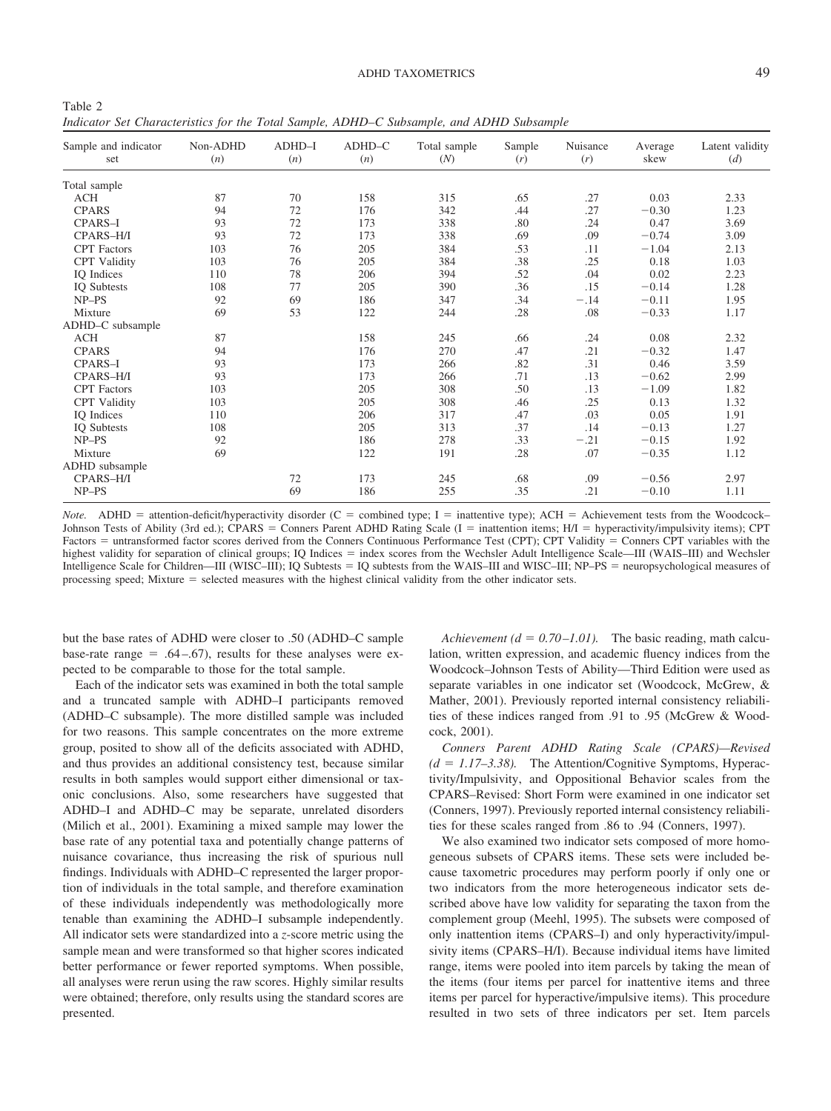Table 2 *Indicator Set Characteristics for the Total Sample, ADHD–C Subsample, and ADHD Subsample*

| Sample and indicator<br>set | Non-ADHD<br>(n) | ADHD-I<br>(n) | ADHD-C<br>(n) | Total sample<br>(N) | Sample<br>(r) | Nuisance<br>(r) | Average<br>skew | Latent validity<br>(d) |
|-----------------------------|-----------------|---------------|---------------|---------------------|---------------|-----------------|-----------------|------------------------|
| Total sample                |                 |               |               |                     |               |                 |                 |                        |
| ACH                         | 87              | 70            | 158           | 315                 | .65           | .27             | 0.03            | 2.33                   |
| <b>CPARS</b>                | 94              | 72            | 176           | 342                 | .44           | .27             | $-0.30$         | 1.23                   |
| CPARS-I                     | 93              | 72            | 173           | 338                 | .80           | .24             | 0.47            | 3.69                   |
| CPARS-H/I                   | 93              | 72            | 173           | 338                 | .69           | .09             | $-0.74$         | 3.09                   |
| <b>CPT</b> Factors          | 103             | 76            | 205           | 384                 | .53           | .11             | $-1.04$         | 2.13                   |
| <b>CPT</b> Validity         | 103             | 76            | 205           | 384                 | .38           | .25             | 0.18            | 1.03                   |
| IQ Indices                  | 110             | 78            | 206           | 394                 | .52           | .04             | 0.02            | 2.23                   |
| <b>IQ</b> Subtests          | 108             | 77            | 205           | 390                 | .36           | .15             | $-0.14$         | 1.28                   |
| $NP-PS$                     | 92              | 69            | 186           | 347                 | .34           | $-.14$          | $-0.11$         | 1.95                   |
| Mixture                     | 69              | 53            | 122           | 244                 | .28           | .08             | $-0.33$         | 1.17                   |
| ADHD-C subsample            |                 |               |               |                     |               |                 |                 |                        |
| <b>ACH</b>                  | 87              |               | 158           | 245                 | .66           | .24             | 0.08            | 2.32                   |
| <b>CPARS</b>                | 94              |               | 176           | 270                 | .47           | .21             | $-0.32$         | 1.47                   |
| CPARS-I                     | 93              |               | 173           | 266                 | .82           | .31             | 0.46            | 3.59                   |
| CPARS-H/I                   | 93              |               | 173           | 266                 | .71           | .13             | $-0.62$         | 2.99                   |
| <b>CPT</b> Factors          | 103             |               | 205           | 308                 | .50           | .13             | $-1.09$         | 1.82                   |
| <b>CPT</b> Validity         | 103             |               | 205           | 308                 | .46           | .25             | 0.13            | 1.32                   |
| IQ Indices                  | 110             |               | 206           | 317                 | .47           | .03             | 0.05            | 1.91                   |
| <b>IQ</b> Subtests          | 108             |               | 205           | 313                 | .37           | .14             | $-0.13$         | 1.27                   |
| $NP-PS$                     | 92              |               | 186           | 278                 | .33           | $-.21$          | $-0.15$         | 1.92                   |
| Mixture                     | 69              |               | 122           | 191                 | .28           | .07             | $-0.35$         | 1.12                   |
| ADHD subsample              |                 |               |               |                     |               |                 |                 |                        |
| CPARS-H/I                   |                 | 72            | 173           | 245                 | .68           | .09             | $-0.56$         | 2.97                   |
| NP-PS                       |                 | 69            | 186           | 255                 | .35           | .21             | $-0.10$         | 1.11                   |

*Note.* ADHD = attention-deficit/hyperactivity disorder (C = combined type; I = inattentive type); ACH = Achievement tests from the Woodcock– Johnson Tests of Ability (3rd ed.); CPARS = Conners Parent ADHD Rating Scale (I = inattention items; H/I = hyperactivity/impulsivity items); CPT Factors = untransformed factor scores derived from the Conners Continuous Performance Test (CPT); CPT Validity = Conners CPT variables with the highest validity for separation of clinical groups; IQ Indices = index scores from the Wechsler Adult Intelligence Scale—III (WAIS–III) and Wechsler Intelligence Scale for Children—III (WISC–III); IQ Subtests  $=$  IQ subtests from the WAIS–III and WISC–III; NP–PS  $=$  neuropsychological measures of processing speed; Mixture  $=$  selected measures with the highest clinical validity from the other indicator sets.

but the base rates of ADHD were closer to .50 (ADHD–C sample base-rate range  $= .64 - .67$ , results for these analyses were expected to be comparable to those for the total sample.

Each of the indicator sets was examined in both the total sample and a truncated sample with ADHD–I participants removed (ADHD–C subsample). The more distilled sample was included for two reasons. This sample concentrates on the more extreme group, posited to show all of the deficits associated with ADHD, and thus provides an additional consistency test, because similar results in both samples would support either dimensional or taxonic conclusions. Also, some researchers have suggested that ADHD–I and ADHD–C may be separate, unrelated disorders (Milich et al., 2001). Examining a mixed sample may lower the base rate of any potential taxa and potentially change patterns of nuisance covariance, thus increasing the risk of spurious null findings. Individuals with ADHD–C represented the larger proportion of individuals in the total sample, and therefore examination of these individuals independently was methodologically more tenable than examining the ADHD–I subsample independently. All indicator sets were standardized into a *z*-score metric using the sample mean and were transformed so that higher scores indicated better performance or fewer reported symptoms. When possible, all analyses were rerun using the raw scores. Highly similar results were obtained; therefore, only results using the standard scores are presented.

*Achievement (* $d = 0.70 - 1.01$ *).* The basic reading, math calculation, written expression, and academic fluency indices from the Woodcock–Johnson Tests of Ability—Third Edition were used as separate variables in one indicator set (Woodcock, McGrew, & Mather, 2001). Previously reported internal consistency reliabilities of these indices ranged from .91 to .95 (McGrew & Woodcock, 2001).

*Conners Parent ADHD Rating Scale (CPARS)—Revised*  $(d = 1.17 - 3.38)$ . The Attention/Cognitive Symptoms, Hyperactivity/Impulsivity, and Oppositional Behavior scales from the CPARS–Revised: Short Form were examined in one indicator set (Conners, 1997). Previously reported internal consistency reliabilities for these scales ranged from .86 to .94 (Conners, 1997).

We also examined two indicator sets composed of more homogeneous subsets of CPARS items. These sets were included because taxometric procedures may perform poorly if only one or two indicators from the more heterogeneous indicator sets described above have low validity for separating the taxon from the complement group (Meehl, 1995). The subsets were composed of only inattention items (CPARS–I) and only hyperactivity/impulsivity items (CPARS–H/I). Because individual items have limited range, items were pooled into item parcels by taking the mean of the items (four items per parcel for inattentive items and three items per parcel for hyperactive/impulsive items). This procedure resulted in two sets of three indicators per set. Item parcels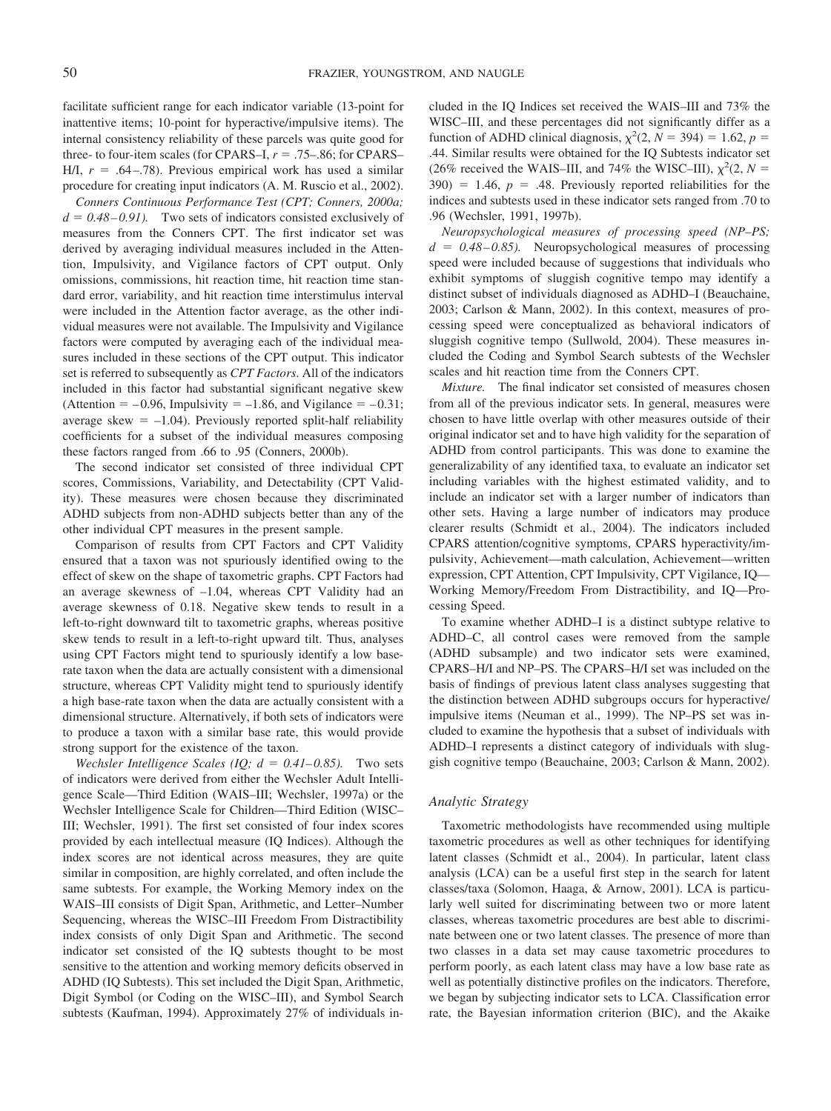facilitate sufficient range for each indicator variable (13-point for inattentive items; 10-point for hyperactive/impulsive items). The internal consistency reliability of these parcels was quite good for three- to four-item scales (for CPARS–I,  $r = .75-0.86$ ; for CPARS– H/I,  $r = .64 - .78$ ). Previous empirical work has used a similar procedure for creating input indicators (A. M. Ruscio et al., 2002).

*Conners Continuous Performance Test (CPT; Conners, 2000a;*  $d = 0.48 - 0.91$ . Two sets of indicators consisted exclusively of measures from the Conners CPT. The first indicator set was derived by averaging individual measures included in the Attention, Impulsivity, and Vigilance factors of CPT output. Only omissions, commissions, hit reaction time, hit reaction time standard error, variability, and hit reaction time interstimulus interval were included in the Attention factor average, as the other individual measures were not available. The Impulsivity and Vigilance factors were computed by averaging each of the individual measures included in these sections of the CPT output. This indicator set is referred to subsequently as *CPT Factors*. All of the indicators included in this factor had substantial significant negative skew (Attention  $= -0.96$ , Impulsivity  $= -1.86$ , and Vigilance  $= -0.31$ ; average skew  $= -1.04$ ). Previously reported split-half reliability coefficients for a subset of the individual measures composing these factors ranged from .66 to .95 (Conners, 2000b).

The second indicator set consisted of three individual CPT scores, Commissions, Variability, and Detectability (CPT Validity). These measures were chosen because they discriminated ADHD subjects from non-ADHD subjects better than any of the other individual CPT measures in the present sample.

Comparison of results from CPT Factors and CPT Validity ensured that a taxon was not spuriously identified owing to the effect of skew on the shape of taxometric graphs. CPT Factors had an average skewness of –1.04, whereas CPT Validity had an average skewness of 0.18. Negative skew tends to result in a left-to-right downward tilt to taxometric graphs, whereas positive skew tends to result in a left-to-right upward tilt. Thus, analyses using CPT Factors might tend to spuriously identify a low baserate taxon when the data are actually consistent with a dimensional structure, whereas CPT Validity might tend to spuriously identify a high base-rate taxon when the data are actually consistent with a dimensional structure. Alternatively, if both sets of indicators were to produce a taxon with a similar base rate, this would provide strong support for the existence of the taxon.

*Wechsler Intelligence Scales (IQ;*  $d = 0.41 - 0.85$ *).* Two sets of indicators were derived from either the Wechsler Adult Intelligence Scale—Third Edition (WAIS–III; Wechsler, 1997a) or the Wechsler Intelligence Scale for Children—Third Edition (WISC– III; Wechsler, 1991). The first set consisted of four index scores provided by each intellectual measure (IQ Indices). Although the index scores are not identical across measures, they are quite similar in composition, are highly correlated, and often include the same subtests. For example, the Working Memory index on the WAIS–III consists of Digit Span, Arithmetic, and Letter–Number Sequencing, whereas the WISC–III Freedom From Distractibility index consists of only Digit Span and Arithmetic. The second indicator set consisted of the IQ subtests thought to be most sensitive to the attention and working memory deficits observed in ADHD (IQ Subtests). This set included the Digit Span, Arithmetic, Digit Symbol (or Coding on the WISC–III), and Symbol Search subtests (Kaufman, 1994). Approximately 27% of individuals included in the IQ Indices set received the WAIS–III and 73% the WISC–III, and these percentages did not significantly differ as a function of ADHD clinical diagnosis,  $\chi^2(2, N = 394) = 1.62$ ,  $p =$ .44. Similar results were obtained for the IQ Subtests indicator set (26% received the WAIS–III, and 74% the WISC–III),  $\chi^2(2, N =$  $390) = 1.46$ ,  $p = .48$ . Previously reported reliabilities for the indices and subtests used in these indicator sets ranged from .70 to .96 (Wechsler, 1991, 1997b).

*Neuropsychological measures of processing speed (NP–PS;*  $d = 0.48 - 0.85$ . Neuropsychological measures of processing speed were included because of suggestions that individuals who exhibit symptoms of sluggish cognitive tempo may identify a distinct subset of individuals diagnosed as ADHD–I (Beauchaine, 2003; Carlson & Mann, 2002). In this context, measures of processing speed were conceptualized as behavioral indicators of sluggish cognitive tempo (Sullwold, 2004). These measures included the Coding and Symbol Search subtests of the Wechsler scales and hit reaction time from the Conners CPT.

*Mixture.* The final indicator set consisted of measures chosen from all of the previous indicator sets. In general, measures were chosen to have little overlap with other measures outside of their original indicator set and to have high validity for the separation of ADHD from control participants. This was done to examine the generalizability of any identified taxa, to evaluate an indicator set including variables with the highest estimated validity, and to include an indicator set with a larger number of indicators than other sets. Having a large number of indicators may produce clearer results (Schmidt et al., 2004). The indicators included CPARS attention/cognitive symptoms, CPARS hyperactivity/impulsivity, Achievement—math calculation, Achievement—written expression, CPT Attention, CPT Impulsivity, CPT Vigilance, IQ— Working Memory/Freedom From Distractibility, and IQ—Processing Speed.

To examine whether ADHD–I is a distinct subtype relative to ADHD–C, all control cases were removed from the sample (ADHD subsample) and two indicator sets were examined, CPARS–H/I and NP–PS. The CPARS–H/I set was included on the basis of findings of previous latent class analyses suggesting that the distinction between ADHD subgroups occurs for hyperactive/ impulsive items (Neuman et al., 1999). The NP–PS set was included to examine the hypothesis that a subset of individuals with ADHD–I represents a distinct category of individuals with sluggish cognitive tempo (Beauchaine, 2003; Carlson & Mann, 2002).

## *Analytic Strategy*

Taxometric methodologists have recommended using multiple taxometric procedures as well as other techniques for identifying latent classes (Schmidt et al., 2004). In particular, latent class analysis (LCA) can be a useful first step in the search for latent classes/taxa (Solomon, Haaga, & Arnow, 2001). LCA is particularly well suited for discriminating between two or more latent classes, whereas taxometric procedures are best able to discriminate between one or two latent classes. The presence of more than two classes in a data set may cause taxometric procedures to perform poorly, as each latent class may have a low base rate as well as potentially distinctive profiles on the indicators. Therefore, we began by subjecting indicator sets to LCA. Classification error rate, the Bayesian information criterion (BIC), and the Akaike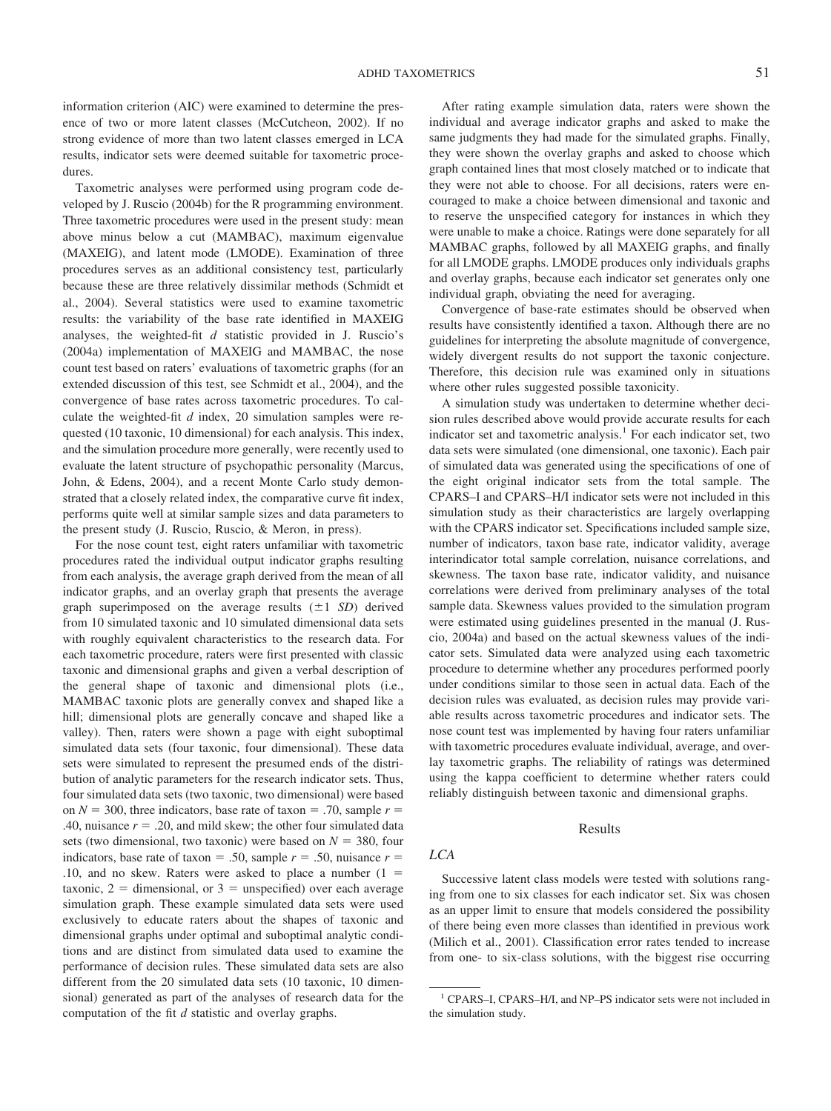information criterion (AIC) were examined to determine the presence of two or more latent classes (McCutcheon, 2002). If no strong evidence of more than two latent classes emerged in LCA results, indicator sets were deemed suitable for taxometric procedures.

Taxometric analyses were performed using program code developed by J. Ruscio (2004b) for the R programming environment. Three taxometric procedures were used in the present study: mean above minus below a cut (MAMBAC), maximum eigenvalue (MAXEIG), and latent mode (LMODE). Examination of three procedures serves as an additional consistency test, particularly because these are three relatively dissimilar methods (Schmidt et al., 2004). Several statistics were used to examine taxometric results: the variability of the base rate identified in MAXEIG analyses, the weighted-fit *d* statistic provided in J. Ruscio's (2004a) implementation of MAXEIG and MAMBAC, the nose count test based on raters' evaluations of taxometric graphs (for an extended discussion of this test, see Schmidt et al., 2004), and the convergence of base rates across taxometric procedures. To calculate the weighted-fit *d* index, 20 simulation samples were requested (10 taxonic, 10 dimensional) for each analysis. This index, and the simulation procedure more generally, were recently used to evaluate the latent structure of psychopathic personality (Marcus, John, & Edens, 2004), and a recent Monte Carlo study demonstrated that a closely related index, the comparative curve fit index, performs quite well at similar sample sizes and data parameters to the present study (J. Ruscio, Ruscio, & Meron, in press).

For the nose count test, eight raters unfamiliar with taxometric procedures rated the individual output indicator graphs resulting from each analysis, the average graph derived from the mean of all indicator graphs, and an overlay graph that presents the average graph superimposed on the average results  $(\pm 1 \text{ SD})$  derived from 10 simulated taxonic and 10 simulated dimensional data sets with roughly equivalent characteristics to the research data. For each taxometric procedure, raters were first presented with classic taxonic and dimensional graphs and given a verbal description of the general shape of taxonic and dimensional plots (i.e., MAMBAC taxonic plots are generally convex and shaped like a hill; dimensional plots are generally concave and shaped like a valley). Then, raters were shown a page with eight suboptimal simulated data sets (four taxonic, four dimensional). These data sets were simulated to represent the presumed ends of the distribution of analytic parameters for the research indicator sets. Thus, four simulated data sets (two taxonic, two dimensional) were based on  $N = 300$ , three indicators, base rate of taxon = .70, sample  $r =$ .40, nuisance  $r = .20$ , and mild skew; the other four simulated data sets (two dimensional, two taxonic) were based on  $N = 380$ , four indicators, base rate of taxon = .50, sample  $r = .50$ , nuisance  $r =$ .10, and no skew. Raters were asked to place a number  $(1 =$ taxonic,  $2 =$  dimensional, or  $3 =$  unspecified) over each average simulation graph. These example simulated data sets were used exclusively to educate raters about the shapes of taxonic and dimensional graphs under optimal and suboptimal analytic conditions and are distinct from simulated data used to examine the performance of decision rules. These simulated data sets are also different from the 20 simulated data sets (10 taxonic, 10 dimensional) generated as part of the analyses of research data for the computation of the fit *d* statistic and overlay graphs.

After rating example simulation data, raters were shown the individual and average indicator graphs and asked to make the same judgments they had made for the simulated graphs. Finally, they were shown the overlay graphs and asked to choose which graph contained lines that most closely matched or to indicate that they were not able to choose. For all decisions, raters were encouraged to make a choice between dimensional and taxonic and to reserve the unspecified category for instances in which they were unable to make a choice. Ratings were done separately for all MAMBAC graphs, followed by all MAXEIG graphs, and finally for all LMODE graphs. LMODE produces only individuals graphs and overlay graphs, because each indicator set generates only one individual graph, obviating the need for averaging.

Convergence of base-rate estimates should be observed when results have consistently identified a taxon. Although there are no guidelines for interpreting the absolute magnitude of convergence, widely divergent results do not support the taxonic conjecture. Therefore, this decision rule was examined only in situations where other rules suggested possible taxonicity.

A simulation study was undertaken to determine whether decision rules described above would provide accurate results for each indicator set and taxometric analysis.<sup>1</sup> For each indicator set, two data sets were simulated (one dimensional, one taxonic). Each pair of simulated data was generated using the specifications of one of the eight original indicator sets from the total sample. The CPARS–I and CPARS–H/I indicator sets were not included in this simulation study as their characteristics are largely overlapping with the CPARS indicator set. Specifications included sample size, number of indicators, taxon base rate, indicator validity, average interindicator total sample correlation, nuisance correlations, and skewness. The taxon base rate, indicator validity, and nuisance correlations were derived from preliminary analyses of the total sample data. Skewness values provided to the simulation program were estimated using guidelines presented in the manual (J. Ruscio, 2004a) and based on the actual skewness values of the indicator sets. Simulated data were analyzed using each taxometric procedure to determine whether any procedures performed poorly under conditions similar to those seen in actual data. Each of the decision rules was evaluated, as decision rules may provide variable results across taxometric procedures and indicator sets. The nose count test was implemented by having four raters unfamiliar with taxometric procedures evaluate individual, average, and overlay taxometric graphs. The reliability of ratings was determined using the kappa coefficient to determine whether raters could reliably distinguish between taxonic and dimensional graphs.

## Results

## *LCA*

Successive latent class models were tested with solutions ranging from one to six classes for each indicator set. Six was chosen as an upper limit to ensure that models considered the possibility of there being even more classes than identified in previous work (Milich et al., 2001). Classification error rates tended to increase from one- to six-class solutions, with the biggest rise occurring

<sup>1</sup> CPARS–I, CPARS–H/I, and NP–PS indicator sets were not included in the simulation study.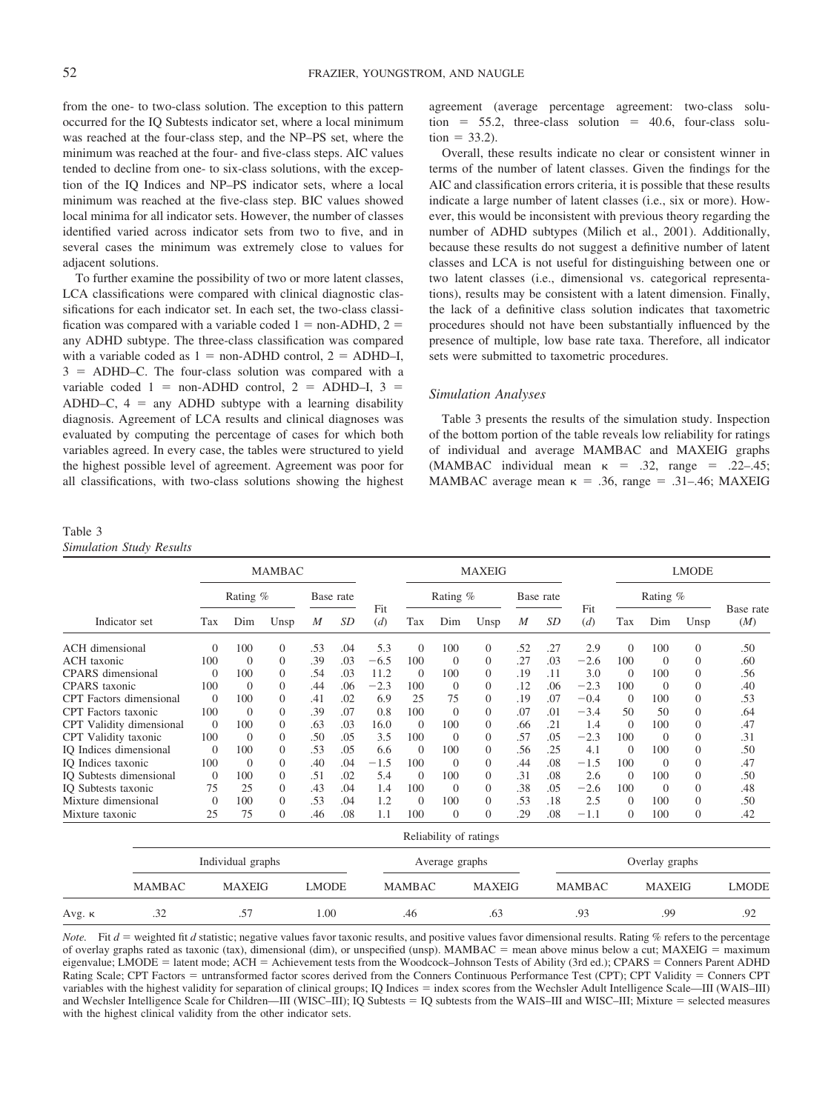from the one- to two-class solution. The exception to this pattern occurred for the IQ Subtests indicator set, where a local minimum was reached at the four-class step, and the NP–PS set, where the minimum was reached at the four- and five-class steps. AIC values tended to decline from one- to six-class solutions, with the exception of the IQ Indices and NP–PS indicator sets, where a local minimum was reached at the five-class step. BIC values showed local minima for all indicator sets. However, the number of classes identified varied across indicator sets from two to five, and in several cases the minimum was extremely close to values for adjacent solutions.

To further examine the possibility of two or more latent classes, LCA classifications were compared with clinical diagnostic classifications for each indicator set. In each set, the two-class classification was compared with a variable coded  $1 = \text{non-ADHD}, 2 = \text{non-ADHD}$ any ADHD subtype. The three-class classification was compared with a variable coded as  $1 =$  non-ADHD control,  $2 =$  ADHD–I,  $3 =$  ADHD–C. The four-class solution was compared with a variable coded  $1 =$  non-ADHD control,  $2 =$  ADHD–I,  $3 =$ ADHD–C,  $4 = \text{any }$  ADHD subtype with a learning disability diagnosis. Agreement of LCA results and clinical diagnoses was evaluated by computing the percentage of cases for which both variables agreed. In every case, the tables were structured to yield the highest possible level of agreement. Agreement was poor for all classifications, with two-class solutions showing the highest

## Table 3 *Simulation Study Results*

agreement (average percentage agreement: two-class solu- $\tau$  tion = 55.2, three-class solution = 40.6, four-class solu- $\text{tion} = 33.2$ .

Overall, these results indicate no clear or consistent winner in terms of the number of latent classes. Given the findings for the AIC and classification errors criteria, it is possible that these results indicate a large number of latent classes (i.e., six or more). However, this would be inconsistent with previous theory regarding the number of ADHD subtypes (Milich et al., 2001). Additionally, because these results do not suggest a definitive number of latent classes and LCA is not useful for distinguishing between one or two latent classes (i.e., dimensional vs. categorical representations), results may be consistent with a latent dimension. Finally, the lack of a definitive class solution indicates that taxometric procedures should not have been substantially influenced by the presence of multiple, low base rate taxa. Therefore, all indicator sets were submitted to taxometric procedures.

#### *Simulation Analyses*

Table 3 presents the results of the simulation study. Inspection of the bottom portion of the table reveals low reliability for ratings of individual and average MAMBAC and MAXEIG graphs (MAMBAC individual mean  $\kappa$  = .32, range = .22–.45; MAMBAC average mean  $\kappa = .36$ , range = .31-.46; MAXEIG

| <b>MAMBAC</b>            |                   |               |           |              |           |        | <b>MAXEIG</b>  |                        |               |           |           |                |                | <b>LMODE</b>  |              |                  |  |
|--------------------------|-------------------|---------------|-----------|--------------|-----------|--------|----------------|------------------------|---------------|-----------|-----------|----------------|----------------|---------------|--------------|------------------|--|
| Rating %                 |                   |               | Base rate |              | Fit       |        | Rating %       |                        |               | Base rate | Fit       | Rating %       |                |               |              |                  |  |
| Indicator set            | Tax               | Dim           | Unsp      | M            | <b>SD</b> | (d)    | Tax            | Dim                    | Unsp          | M         | <b>SD</b> | (d)            | Tax            | Dim           | Unsp         | Base rate<br>(M) |  |
| ACH dimensional          | $\overline{0}$    | 100           | $\theta$  | .53          | .04       | 5.3    | $\theta$       | 100                    | $\Omega$      | .52       | .27       | 2.9            | $\theta$       | 100           | $\theta$     | .50              |  |
| <b>ACH</b> taxonic       | 100               | $\Omega$      | $\Omega$  | .39          | .03       | $-6.5$ | 100            | $\Omega$               | $\theta$      | .27       | .03       | $-2.6$         | 100            | $\Omega$      | $\Omega$     | .60              |  |
| CPARS dimensional        | $\Omega$          | 100           | $\Omega$  | .54          | .03       | 11.2   | $\theta$       | 100                    | $\Omega$      | .19       | .11       | 3.0            | $\theta$       | 100           | $\mathbf{0}$ | .56              |  |
| CPARS taxonic            | 100               | $\Omega$      | $\Omega$  | .44          | .06       | $-2.3$ | 100            | $\Omega$               | $\Omega$      | .12       | .06       | $-2.3$         | 100            | $\Omega$      | $\Omega$     | .40              |  |
| CPT Factors dimensional  | $\Omega$          | 100           | $\Omega$  | .41          | .02       | 6.9    | 25             | 75                     | $\Omega$      | .19       | .07       | $-0.4$         | $\theta$       | 100           | $\Omega$     | .53              |  |
| CPT Factors taxonic      | 100               | $\Omega$      | $\Omega$  | .39          | .07       | 0.8    | 100            | $\Omega$               | $\Omega$      | .07       | .01       | $-3.4$         | 50             | 50            | $\Omega$     | .64              |  |
| CPT Validity dimensional | $\Omega$          | 100           | $\Omega$  | .63          | .03       | 16.0   | $\Omega$       | 100                    | $\Omega$      | .66       | .21       | 1.4            | $\Omega$       | 100           | $\Omega$     | .47              |  |
| CPT Validity taxonic     | 100               | $\Omega$      | $\Omega$  | .50          | .05       | 3.5    | 100            | $\Omega$               | $\Omega$      | .57       | .05       | $-2.3$         | 100            | $\Omega$      | $\mathbf{0}$ | .31              |  |
| IO Indices dimensional   | $\Omega$          | 100           | $\Omega$  | .53          | .05       | 6.6    | $\Omega$       | 100                    | $\Omega$      | .56       | .25       | 4.1            | $\Omega$       | 100           | $\Omega$     | .50              |  |
| IO Indices taxonic       | 100               | $\Omega$      | $\theta$  | .40          | .04       | $-1.5$ | 100            | $\Omega$               | $\Omega$      | .44       | .08       | $-1.5$         | 100            | $\Omega$      | $\Omega$     | .47              |  |
| IO Subtests dimensional  | $\Omega$          | 100           | $\Omega$  | .51          | .02       | 5.4    | $\Omega$       | 100                    | $\Omega$      | .31       | .08       | 2.6            | $\Omega$       | 100           | $\Omega$     | .50              |  |
| IO Subtests taxonic      | 75                | 25            | $\Omega$  | .43          | .04       | 1.4    | 100            | $\Omega$               | $\Omega$      | .38       | .05       | $-2.6$         | 100            | $\Omega$      | $\Omega$     | .48              |  |
| Mixture dimensional      | $\overline{0}$    | 100           | $\Omega$  | .53          | .04       | 1.2    | $\Omega$       | 100                    | $\Omega$      | .53       | .18       | 2.5            | $\theta$       | 100           | $\mathbf{0}$ | .50              |  |
| Mixture taxonic          | 25                | 75            | $\Omega$  | .46          | .08       | 1.1    | 100            | $\Omega$               | $\Omega$      | .29       | .08       | $-1.1$         | $\overline{0}$ | 100           | $\Omega$     | .42              |  |
|                          |                   |               |           |              |           |        |                | Reliability of ratings |               |           |           |                |                |               |              |                  |  |
|                          | Individual graphs |               |           |              |           |        | Average graphs |                        |               |           |           | Overlay graphs |                |               |              |                  |  |
| <b>MAMBAC</b>            |                   | <b>MAXEIG</b> |           | <b>LMODE</b> |           |        | <b>MAMBAC</b>  |                        | <b>MAXEIG</b> |           |           | <b>MAMBAC</b>  |                | <b>MAXEIG</b> |              | <b>LMODE</b>     |  |
| .32<br>Avg. K            |                   | .57           |           | 1.00         |           |        | .46            | .63                    |               | .93       |           | .99            |                | .92           |              |                  |  |

*Note.* Fit  $d =$  weighted fit *d* statistic; negative values favor taxonic results, and positive values favor dimensional results. Rating % refers to the percentage of overlay graphs rated as taxonic (tax), dimensional (dim), or unspecified (unsp). MAMBAC = mean above minus below a cut; MAXEIG = maximum eigenvalue; LMODE = latent mode; ACH = Achievement tests from the Woodcock–Johnson Tests of Ability (3rd ed.); CPARS = Conners Parent ADHD Rating Scale; CPT Factors = untransformed factor scores derived from the Conners Continuous Performance Test (CPT); CPT Validity = Conners CPT variables with the highest validity for separation of clinical groups; IQ Indices = index scores from the Wechsler Adult Intelligence Scale—III (WAIS–III) and Wechsler Intelligence Scale for Children—III (WISC–III); IQ Subtests = IQ subtests from the WAIS–III and WISC–III; Mixture = selected measures with the highest clinical validity from the other indicator sets.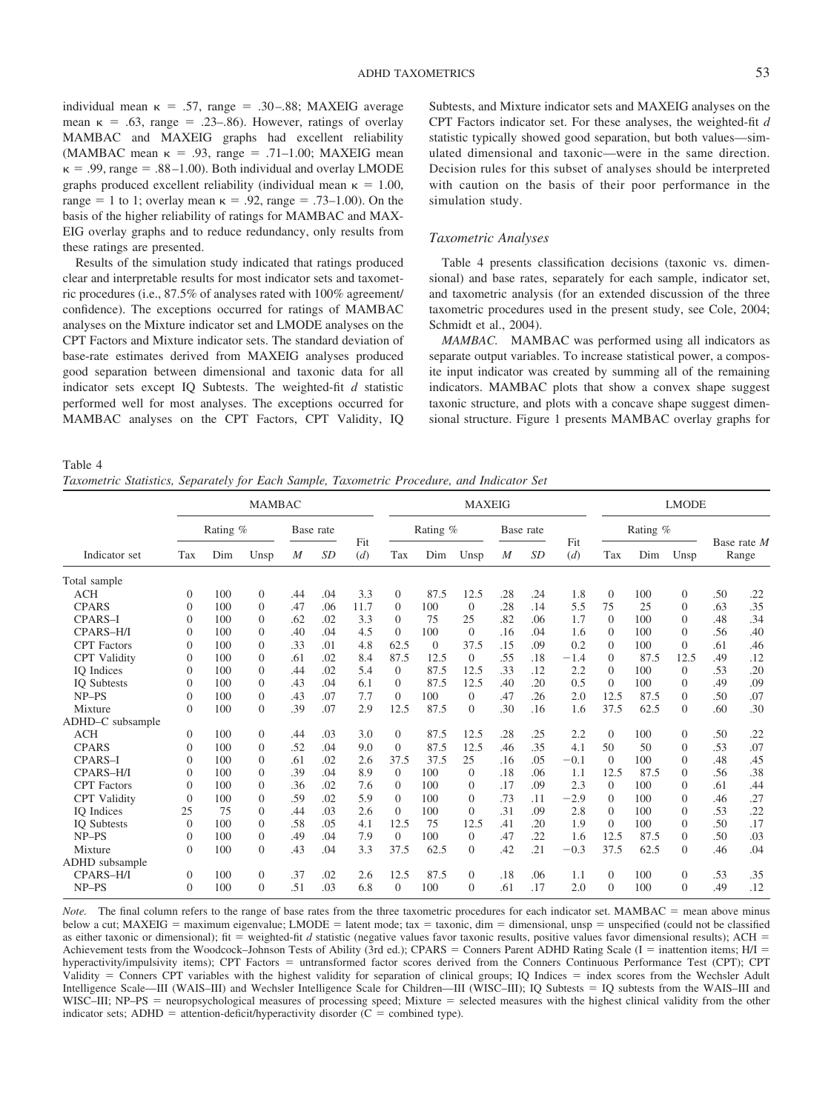individual mean  $\kappa = .57$ , range = .30–.88; MAXEIG average mean  $\kappa = .63$ , range = .23–.86). However, ratings of overlay MAMBAC and MAXEIG graphs had excellent reliability (MAMBAC mean  $\kappa$  = .93, range = .71–1.00; MAXEIG mean  $\kappa = .99$ , range = .88 –1.00). Both individual and overlay LMODE graphs produced excellent reliability (individual mean  $\kappa = 1.00$ , range = 1 to 1; overlay mean  $\kappa$  = .92, range = .73–1.00). On the basis of the higher reliability of ratings for MAMBAC and MAX-EIG overlay graphs and to reduce redundancy, only results from these ratings are presented.

Results of the simulation study indicated that ratings produced clear and interpretable results for most indicator sets and taxometric procedures (i.e., 87.5% of analyses rated with 100% agreement/ confidence). The exceptions occurred for ratings of MAMBAC analyses on the Mixture indicator set and LMODE analyses on the CPT Factors and Mixture indicator sets. The standard deviation of base-rate estimates derived from MAXEIG analyses produced good separation between dimensional and taxonic data for all indicator sets except IQ Subtests. The weighted-fit *d* statistic performed well for most analyses. The exceptions occurred for MAMBAC analyses on the CPT Factors, CPT Validity, IQ

Subtests, and Mixture indicator sets and MAXEIG analyses on the CPT Factors indicator set. For these analyses, the weighted-fit *d* statistic typically showed good separation, but both values—simulated dimensional and taxonic—were in the same direction. Decision rules for this subset of analyses should be interpreted with caution on the basis of their poor performance in the simulation study.

# *Taxometric Analyses*

Table 4 presents classification decisions (taxonic vs. dimensional) and base rates, separately for each sample, indicator set, and taxometric analysis (for an extended discussion of the three taxometric procedures used in the present study, see Cole, 2004; Schmidt et al., 2004).

*MAMBAC.* MAMBAC was performed using all indicators as separate output variables. To increase statistical power, a composite input indicator was created by summing all of the remaining indicators. MAMBAC plots that show a convex shape suggest taxonic structure, and plots with a concave shape suggest dimensional structure. Figure 1 presents MAMBAC overlay graphs for

Table 4

| Taxometric Statistics, Separately for Each Sample, Taxometric Procedure, and Indicator Set |  |  |  |  |  |  |
|--------------------------------------------------------------------------------------------|--|--|--|--|--|--|
|--------------------------------------------------------------------------------------------|--|--|--|--|--|--|

|                     |                | <b>MAMBAC</b> |                |                  |           |            |                |          | <b>MAXEIG</b> |     |           |            |                |      | <b>LMODE</b>   |     |                      |  |  |
|---------------------|----------------|---------------|----------------|------------------|-----------|------------|----------------|----------|---------------|-----|-----------|------------|----------------|------|----------------|-----|----------------------|--|--|
|                     |                | Rating %      |                |                  | Base rate |            |                | Rating % |               |     | Base rate |            | Rating %       |      |                |     |                      |  |  |
| Indicator set       | Tax            | Dim           | Unsp           | $\boldsymbol{M}$ | <b>SD</b> | Fit<br>(d) | Tax            | Dim      | Unsp          | M   | <b>SD</b> | Fit<br>(d) | Tax            | Dim  | Unsp           |     | Base rate M<br>Range |  |  |
| Total sample        |                |               |                |                  |           |            |                |          |               |     |           |            |                |      |                |     |                      |  |  |
| <b>ACH</b>          | $\Omega$       | 100           | $\overline{0}$ | .44              | .04       | 3.3        | $\overline{0}$ | 87.5     | 12.5          | .28 | .24       | 1.8        | $\mathbf{0}$   | 100  | $\overline{0}$ | .50 | .22                  |  |  |
| <b>CPARS</b>        | $\mathbf{0}$   | 100           | $\overline{0}$ | .47              | .06       | 11.7       | $\theta$       | 100      | $\theta$      | .28 | .14       | 5.5        | 75             | 25   | $\theta$       | .63 | .35                  |  |  |
| CPARS-I             | $\mathbf{0}$   | 100           | $\Omega$       | .62              | .02       | 3.3        | $\Omega$       | 75       | 25            | .82 | .06       | 1.7        | $\overline{0}$ | 100  | $\mathbf{0}$   | .48 | .34                  |  |  |
| CPARS-H/I           | $\Omega$       | 100           | $\Omega$       | .40              | .04       | 4.5        | $\Omega$       | 100      | $\Omega$      | .16 | .04       | 1.6        | $\mathbf{0}$   | 100  | $\Omega$       | .56 | .40                  |  |  |
| <b>CPT</b> Factors  | $\Omega$       | 100           | $\Omega$       | .33              | .01       | 4.8        | 62.5           | $\Omega$ | 37.5          | .15 | .09       | 0.2        | $\theta$       | 100  | $\Omega$       | .61 | .46                  |  |  |
| <b>CPT</b> Validity | $\Omega$       | 100           | $\Omega$       | .61              | .02       | 8.4        | 87.5           | 12.5     | $\Omega$      | .55 | .18       | $-1.4$     | $\theta$       | 87.5 | 12.5           | .49 | .12                  |  |  |
| IQ Indices          | $\Omega$       | 100           | $\Omega$       | .44              | .02       | 5.4        | $\theta$       | 87.5     | 12.5          | .33 | .12       | 2.2        | $\Omega$       | 100  | $\Omega$       | .53 | .20                  |  |  |
| IQ Subtests         | $\mathbf{0}$   | 100           | $\overline{0}$ | .43              | .04       | 6.1        | $\theta$       | 87.5     | 12.5          | .40 | .20       | 0.5        | $\mathbf{0}$   | 100  | $\mathbf{0}$   | .49 | .09                  |  |  |
| $NP-PS$             | $\Omega$       | 100           | $\Omega$       | .43              | .07       | 7.7        | $\Omega$       | 100      | $\Omega$      | .47 | .26       | 2.0        | 12.5           | 87.5 | $\overline{0}$ | .50 | .07                  |  |  |
| Mixture             | $\Omega$       | 100           | $\theta$       | .39              | .07       | 2.9        | 12.5           | 87.5     | $\Omega$      | .30 | .16       | 1.6        | 37.5           | 62.5 | $\Omega$       | .60 | .30                  |  |  |
| ADHD-C subsample    |                |               |                |                  |           |            |                |          |               |     |           |            |                |      |                |     |                      |  |  |
| <b>ACH</b>          | $\Omega$       | 100           | $\Omega$       | .44              | .03       | 3.0        | $\Omega$       | 87.5     | 12.5          | .28 | .25       | 2.2        | $\Omega$       | 100  | $\overline{0}$ | .50 | .22                  |  |  |
| <b>CPARS</b>        | $\mathbf{0}$   | 100           | $\Omega$       | .52              | .04       | 9.0        | $\Omega$       | 87.5     | 12.5          | .46 | .35       | 4.1        | 50             | 50   | $\overline{0}$ | .53 | .07                  |  |  |
| CPARS-I             | $\mathbf{0}$   | 100           | $\Omega$       | .61              | .02       | 2.6        | 37.5           | 37.5     | 25            | .16 | .05       | $-0.1$     | $\overline{0}$ | 100  | $\mathbf{0}$   | .48 | .45                  |  |  |
| CPARS-H/I           | $\Omega$       | 100           | $\Omega$       | .39              | .04       | 8.9        | $\Omega$       | 100      | $\Omega$      | .18 | .06       | 1.1        | 12.5           | 87.5 | $\Omega$       | .56 | .38                  |  |  |
| <b>CPT</b> Factors  | $\Omega$       | 100           | $\Omega$       | .36              | .02       | 7.6        | $\theta$       | 100      | $\Omega$      | .17 | .09       | 2.3        | $\Omega$       | 100  | $\mathbf{0}$   | .61 | .44                  |  |  |
| <b>CPT</b> Validity | $\overline{0}$ | 100           | $\Omega$       | .59              | .02       | 5.9        | $\Omega$       | 100      | $\Omega$      | .73 | .11       | $-2.9$     | $\theta$       | 100  | $\Omega$       | .46 | .27                  |  |  |
| IQ Indices          | 25             | 75            | $\Omega$       | .44              | .03       | 2.6        | $\Omega$       | 100      | $\Omega$      | .31 | .09       | 2.8        | $\mathbf{0}$   | 100  | $\mathbf{0}$   | .53 | .22                  |  |  |
| <b>IQ</b> Subtests  | $\overline{0}$ | 100           | $\Omega$       | .58              | .05       | 4.1        | 12.5           | 75       | 12.5          | .41 | .20       | 1.9        | $\Omega$       | 100  | $\mathbf{0}$   | .50 | .17                  |  |  |
| NP-PS               | $\Omega$       | 100           | $\Omega$       | .49              | .04       | 7.9        | $\Omega$       | 100      | $\Omega$      | .47 | .22       | 1.6        | 12.5           | 87.5 | $\Omega$       | .50 | .03                  |  |  |
| Mixture             | $\Omega$       | 100           | $\theta$       | .43              | .04       | 3.3        | 37.5           | 62.5     | $\Omega$      | .42 | .21       | $-0.3$     | 37.5           | 62.5 | $\Omega$       | .46 | .04                  |  |  |
| ADHD subsample      |                |               |                |                  |           |            |                |          |               |     |           |            |                |      |                |     |                      |  |  |
| CPARS-H/I           | $\mathbf{0}$   | 100           | $\mathbf{0}$   | .37              | .02       | 2.6        | 12.5           | 87.5     | $\Omega$      | .18 | .06       | 1.1        | $\overline{0}$ | 100  | $\mathbf{0}$   | .53 | .35                  |  |  |
| $NP-PS$             | $\Omega$       | 100           | $\mathbf{0}$   | .51              | .03       | 6.8        | $\mathbf{0}$   | 100      | $\theta$      | .61 | .17       | 2.0        | $\overline{0}$ | 100  | $\mathbf{0}$   | .49 | .12                  |  |  |

*Note.* The final column refers to the range of base rates from the three taxometric procedures for each indicator set. MAMBAC = mean above minus below a cut; MAXEIG = maximum eigenvalue; LMODE = latent mode; tax = taxonic, dim = dimensional, unsp = unspecified (could not be classified as either taxonic or dimensional); fit = weighted-fit *d* statistic (negative values favor taxonic results, positive values favor dimensional results); ACH = Achievement tests from the Woodcock–Johnson Tests of Ability (3rd ed.); CPARS = Conners Parent ADHD Rating Scale (I = inattention items; H/I = hyperactivity/impulsivity items); CPT Factors untransformed factor scores derived from the Conners Continuous Performance Test (CPT); CPT Validity = Conners CPT variables with the highest validity for separation of clinical groups; IQ Indices = index scores from the Wechsler Adult Intelligence Scale—III (WAIS–III) and Wechsler Intelligence Scale for Children—III (WISC–III); IQ Subtests IQ subtests from the WAIS–III and WISC-III; NP-PS = neuropsychological measures of processing speed; Mixture = selected measures with the highest clinical validity from the other indicator sets; ADHD = attention-deficit/hyperactivity disorder  $(C =$  combined type).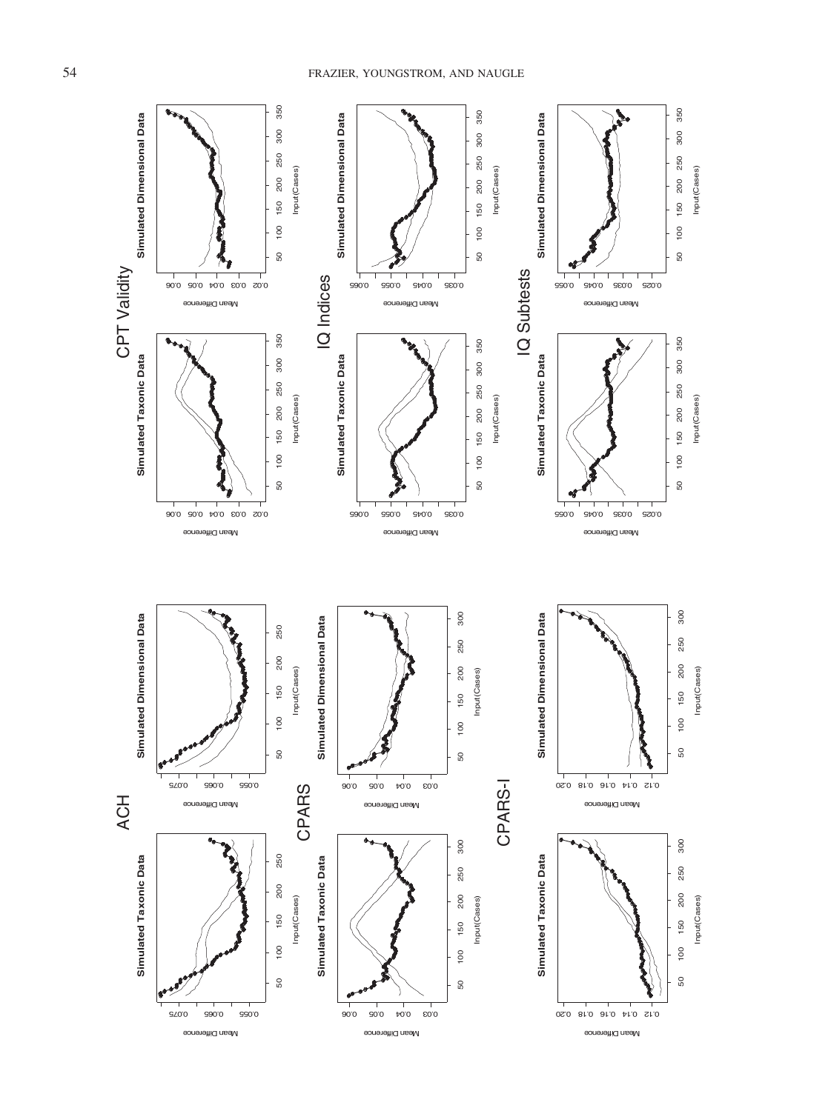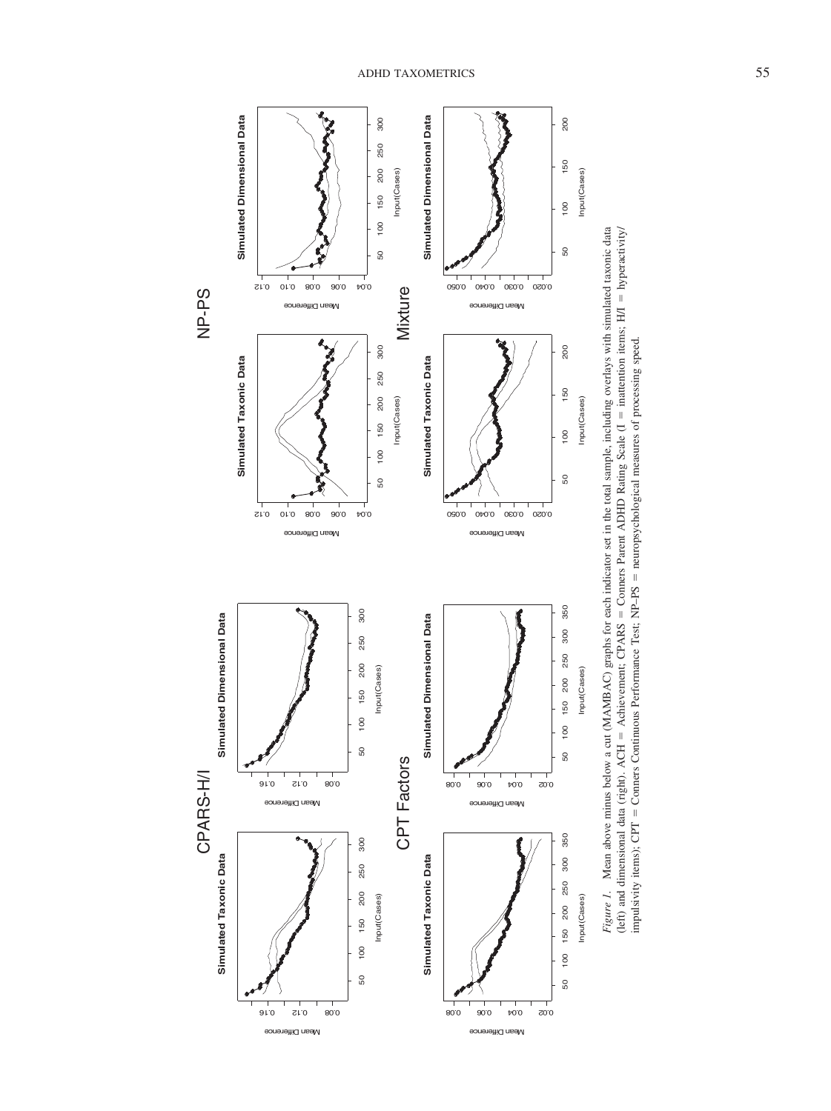



impulsivity items); CPT

Conners Continuous Performance Test; NP–PS

neuropsychological measures of processing speed.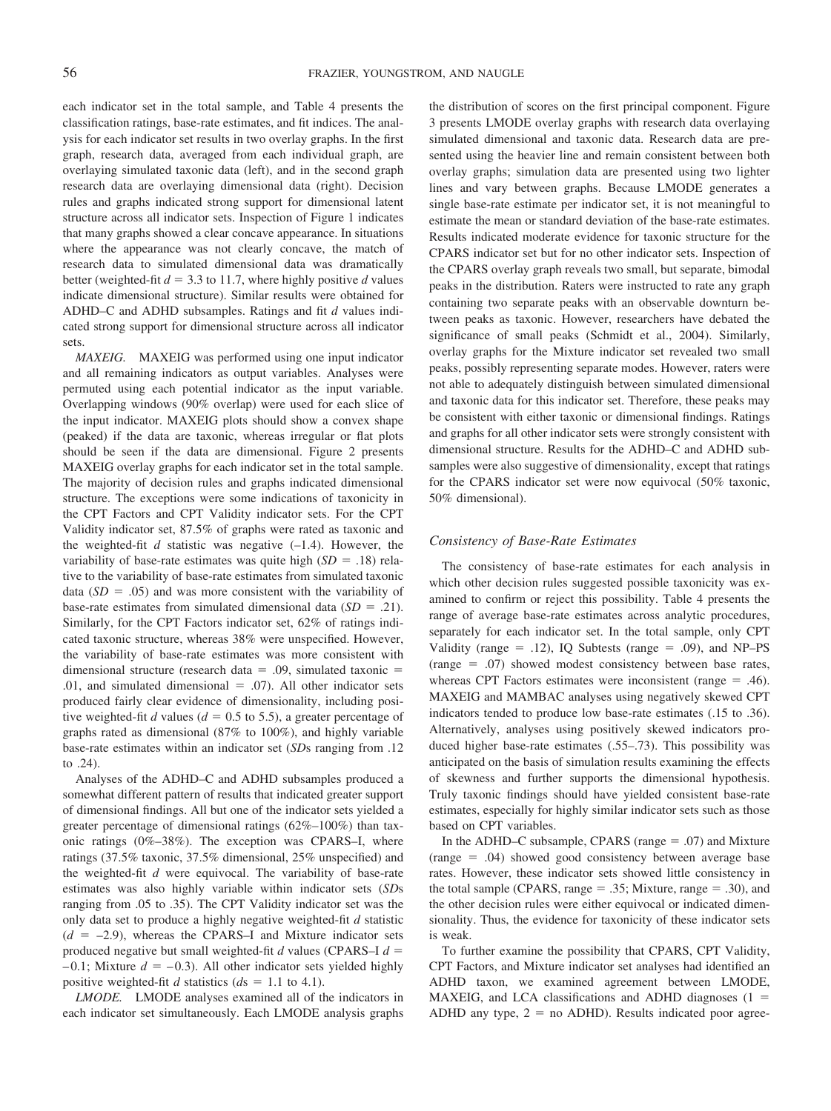each indicator set in the total sample, and Table 4 presents the classification ratings, base-rate estimates, and fit indices. The analysis for each indicator set results in two overlay graphs. In the first graph, research data, averaged from each individual graph, are overlaying simulated taxonic data (left), and in the second graph research data are overlaying dimensional data (right). Decision rules and graphs indicated strong support for dimensional latent structure across all indicator sets. Inspection of Figure 1 indicates that many graphs showed a clear concave appearance. In situations where the appearance was not clearly concave, the match of research data to simulated dimensional data was dramatically better (weighted-fit  $d = 3.3$  to 11.7, where highly positive *d* values indicate dimensional structure). Similar results were obtained for ADHD–C and ADHD subsamples. Ratings and fit *d* values indicated strong support for dimensional structure across all indicator sets.

*MAXEIG.* MAXEIG was performed using one input indicator and all remaining indicators as output variables. Analyses were permuted using each potential indicator as the input variable. Overlapping windows (90% overlap) were used for each slice of the input indicator. MAXEIG plots should show a convex shape (peaked) if the data are taxonic, whereas irregular or flat plots should be seen if the data are dimensional. Figure 2 presents MAXEIG overlay graphs for each indicator set in the total sample. The majority of decision rules and graphs indicated dimensional structure. The exceptions were some indications of taxonicity in the CPT Factors and CPT Validity indicator sets. For the CPT Validity indicator set, 87.5% of graphs were rated as taxonic and the weighted-fit  $d$  statistic was negative  $(-1.4)$ . However, the variability of base-rate estimates was quite high  $(SD = .18)$  relative to the variability of base-rate estimates from simulated taxonic data  $(SD = .05)$  and was more consistent with the variability of base-rate estimates from simulated dimensional data  $(SD = .21)$ . Similarly, for the CPT Factors indicator set, 62% of ratings indicated taxonic structure, whereas 38% were unspecified. However, the variability of base-rate estimates was more consistent with dimensional structure (research data  $= .09$ , simulated taxonic  $=$ .01, and simulated dimensional  $=$  .07). All other indicator sets produced fairly clear evidence of dimensionality, including positive weighted-fit *d* values ( $d = 0.5$  to 5.5), a greater percentage of graphs rated as dimensional (87% to 100%), and highly variable base-rate estimates within an indicator set (*SD*s ranging from .12 to .24).

Analyses of the ADHD–C and ADHD subsamples produced a somewhat different pattern of results that indicated greater support of dimensional findings. All but one of the indicator sets yielded a greater percentage of dimensional ratings (62%–100%) than taxonic ratings (0%–38%). The exception was CPARS–I, where ratings (37.5% taxonic, 37.5% dimensional, 25% unspecified) and the weighted-fit *d* were equivocal. The variability of base-rate estimates was also highly variable within indicator sets (*SD*s ranging from .05 to .35). The CPT Validity indicator set was the only data set to produce a highly negative weighted-fit *d* statistic  $(d = -2.9)$ , whereas the CPARS–I and Mixture indicator sets produced negative but small weighted-fit *d* values (CPARS–I *d*  $-0.1$ ; Mixture  $d = -0.3$ ). All other indicator sets yielded highly positive weighted-fit *d* statistics ( $ds = 1.1$  to 4.1).

*LMODE.* LMODE analyses examined all of the indicators in each indicator set simultaneously. Each LMODE analysis graphs the distribution of scores on the first principal component. Figure 3 presents LMODE overlay graphs with research data overlaying simulated dimensional and taxonic data. Research data are presented using the heavier line and remain consistent between both overlay graphs; simulation data are presented using two lighter lines and vary between graphs. Because LMODE generates a single base-rate estimate per indicator set, it is not meaningful to estimate the mean or standard deviation of the base-rate estimates. Results indicated moderate evidence for taxonic structure for the CPARS indicator set but for no other indicator sets. Inspection of the CPARS overlay graph reveals two small, but separate, bimodal peaks in the distribution. Raters were instructed to rate any graph containing two separate peaks with an observable downturn between peaks as taxonic. However, researchers have debated the significance of small peaks (Schmidt et al., 2004). Similarly, overlay graphs for the Mixture indicator set revealed two small peaks, possibly representing separate modes. However, raters were not able to adequately distinguish between simulated dimensional and taxonic data for this indicator set. Therefore, these peaks may be consistent with either taxonic or dimensional findings. Ratings and graphs for all other indicator sets were strongly consistent with dimensional structure. Results for the ADHD–C and ADHD subsamples were also suggestive of dimensionality, except that ratings for the CPARS indicator set were now equivocal (50% taxonic, 50% dimensional).

# *Consistency of Base-Rate Estimates*

The consistency of base-rate estimates for each analysis in which other decision rules suggested possible taxonicity was examined to confirm or reject this possibility. Table 4 presents the range of average base-rate estimates across analytic procedures, separately for each indicator set. In the total sample, only CPT Validity (range  $=$  .12), IQ Subtests (range  $=$  .09), and NP–PS  $(range = .07)$  showed modest consistency between base rates, whereas CPT Factors estimates were inconsistent (range  $= .46$ ). MAXEIG and MAMBAC analyses using negatively skewed CPT indicators tended to produce low base-rate estimates (.15 to .36). Alternatively, analyses using positively skewed indicators produced higher base-rate estimates (.55–.73). This possibility was anticipated on the basis of simulation results examining the effects of skewness and further supports the dimensional hypothesis. Truly taxonic findings should have yielded consistent base-rate estimates, especially for highly similar indicator sets such as those based on CPT variables.

In the ADHD–C subsample, CPARS (range  $= .07$ ) and Mixture  $(range = .04)$  showed good consistency between average base rates. However, these indicator sets showed little consistency in the total sample (CPARS, range  $= .35$ ; Mixture, range  $= .30$ ), and the other decision rules were either equivocal or indicated dimensionality. Thus, the evidence for taxonicity of these indicator sets is weak.

To further examine the possibility that CPARS, CPT Validity, CPT Factors, and Mixture indicator set analyses had identified an ADHD taxon, we examined agreement between LMODE, MAXEIG, and LCA classifications and ADHD diagnoses  $(1 =$ ADHD any type,  $2 =$  no ADHD). Results indicated poor agree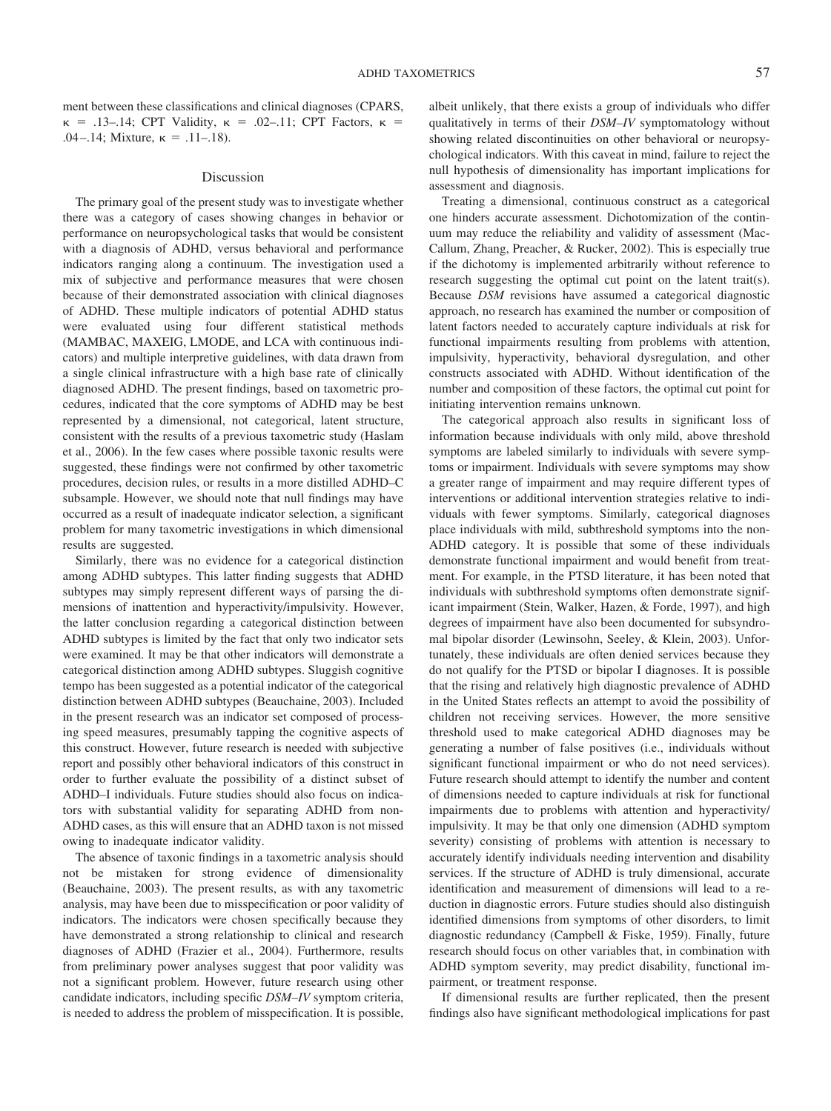ment between these classifications and clinical diagnoses (CPARS,  $\kappa$  = .13–.14; CPT Validity,  $\kappa$  = .02–.11; CPT Factors,  $\kappa$  = .04 –.14: Mixture,  $\kappa = .11 - .18$ ).

## Discussion

The primary goal of the present study was to investigate whether there was a category of cases showing changes in behavior or performance on neuropsychological tasks that would be consistent with a diagnosis of ADHD, versus behavioral and performance indicators ranging along a continuum. The investigation used a mix of subjective and performance measures that were chosen because of their demonstrated association with clinical diagnoses of ADHD. These multiple indicators of potential ADHD status were evaluated using four different statistical methods (MAMBAC, MAXEIG, LMODE, and LCA with continuous indicators) and multiple interpretive guidelines, with data drawn from a single clinical infrastructure with a high base rate of clinically diagnosed ADHD. The present findings, based on taxometric procedures, indicated that the core symptoms of ADHD may be best represented by a dimensional, not categorical, latent structure, consistent with the results of a previous taxometric study (Haslam et al., 2006). In the few cases where possible taxonic results were suggested, these findings were not confirmed by other taxometric procedures, decision rules, or results in a more distilled ADHD–C subsample. However, we should note that null findings may have occurred as a result of inadequate indicator selection, a significant problem for many taxometric investigations in which dimensional results are suggested.

Similarly, there was no evidence for a categorical distinction among ADHD subtypes. This latter finding suggests that ADHD subtypes may simply represent different ways of parsing the dimensions of inattention and hyperactivity/impulsivity. However, the latter conclusion regarding a categorical distinction between ADHD subtypes is limited by the fact that only two indicator sets were examined. It may be that other indicators will demonstrate a categorical distinction among ADHD subtypes. Sluggish cognitive tempo has been suggested as a potential indicator of the categorical distinction between ADHD subtypes (Beauchaine, 2003). Included in the present research was an indicator set composed of processing speed measures, presumably tapping the cognitive aspects of this construct. However, future research is needed with subjective report and possibly other behavioral indicators of this construct in order to further evaluate the possibility of a distinct subset of ADHD–I individuals. Future studies should also focus on indicators with substantial validity for separating ADHD from non-ADHD cases, as this will ensure that an ADHD taxon is not missed owing to inadequate indicator validity.

The absence of taxonic findings in a taxometric analysis should not be mistaken for strong evidence of dimensionality (Beauchaine, 2003). The present results, as with any taxometric analysis, may have been due to misspecification or poor validity of indicators. The indicators were chosen specifically because they have demonstrated a strong relationship to clinical and research diagnoses of ADHD (Frazier et al., 2004). Furthermore, results from preliminary power analyses suggest that poor validity was not a significant problem. However, future research using other candidate indicators, including specific *DSM–IV* symptom criteria, is needed to address the problem of misspecification. It is possible,

albeit unlikely, that there exists a group of individuals who differ qualitatively in terms of their *DSM–IV* symptomatology without showing related discontinuities on other behavioral or neuropsychological indicators. With this caveat in mind, failure to reject the null hypothesis of dimensionality has important implications for assessment and diagnosis.

Treating a dimensional, continuous construct as a categorical one hinders accurate assessment. Dichotomization of the continuum may reduce the reliability and validity of assessment (Mac-Callum, Zhang, Preacher, & Rucker, 2002). This is especially true if the dichotomy is implemented arbitrarily without reference to research suggesting the optimal cut point on the latent trait(s). Because *DSM* revisions have assumed a categorical diagnostic approach, no research has examined the number or composition of latent factors needed to accurately capture individuals at risk for functional impairments resulting from problems with attention, impulsivity, hyperactivity, behavioral dysregulation, and other constructs associated with ADHD. Without identification of the number and composition of these factors, the optimal cut point for initiating intervention remains unknown.

The categorical approach also results in significant loss of information because individuals with only mild, above threshold symptoms are labeled similarly to individuals with severe symptoms or impairment. Individuals with severe symptoms may show a greater range of impairment and may require different types of interventions or additional intervention strategies relative to individuals with fewer symptoms. Similarly, categorical diagnoses place individuals with mild, subthreshold symptoms into the non-ADHD category. It is possible that some of these individuals demonstrate functional impairment and would benefit from treatment. For example, in the PTSD literature, it has been noted that individuals with subthreshold symptoms often demonstrate significant impairment (Stein, Walker, Hazen, & Forde, 1997), and high degrees of impairment have also been documented for subsyndromal bipolar disorder (Lewinsohn, Seeley, & Klein, 2003). Unfortunately, these individuals are often denied services because they do not qualify for the PTSD or bipolar I diagnoses. It is possible that the rising and relatively high diagnostic prevalence of ADHD in the United States reflects an attempt to avoid the possibility of children not receiving services. However, the more sensitive threshold used to make categorical ADHD diagnoses may be generating a number of false positives (i.e., individuals without significant functional impairment or who do not need services). Future research should attempt to identify the number and content of dimensions needed to capture individuals at risk for functional impairments due to problems with attention and hyperactivity/ impulsivity. It may be that only one dimension (ADHD symptom severity) consisting of problems with attention is necessary to accurately identify individuals needing intervention and disability services. If the structure of ADHD is truly dimensional, accurate identification and measurement of dimensions will lead to a reduction in diagnostic errors. Future studies should also distinguish identified dimensions from symptoms of other disorders, to limit diagnostic redundancy (Campbell & Fiske, 1959). Finally, future research should focus on other variables that, in combination with ADHD symptom severity, may predict disability, functional impairment, or treatment response.

If dimensional results are further replicated, then the present findings also have significant methodological implications for past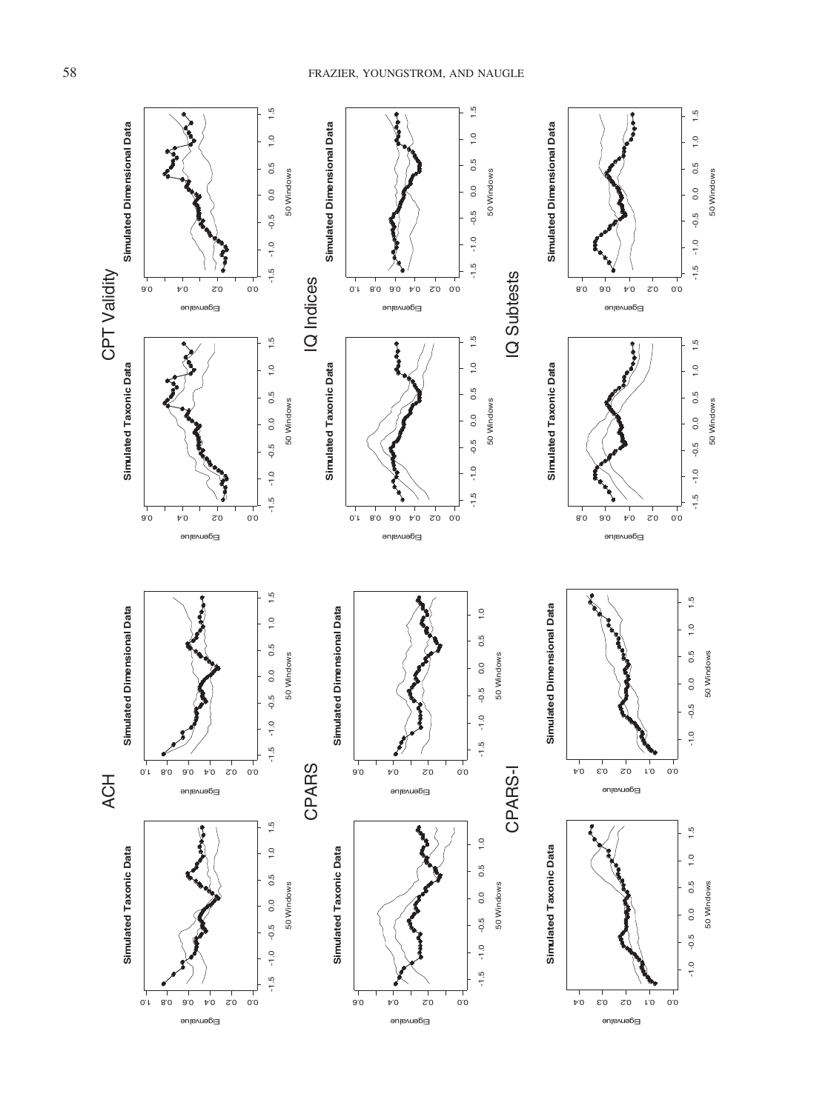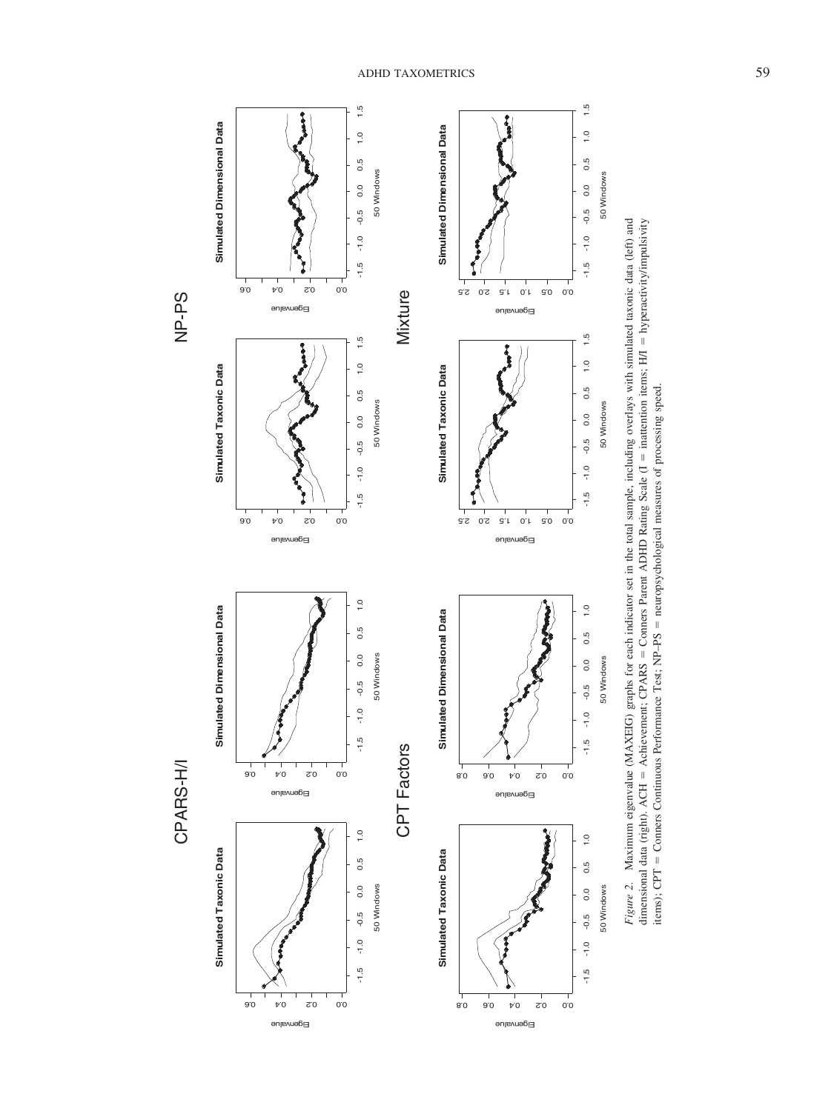

Figure 2. Maximum eigenvalue (MAXEIG) graphs for each indicator set in the total sample, including overlays with simulated taxonic data (left) and *Figure 2.* Maximum eigenvalue (MAXEIG) graphs for each indicator set in the total sample, including overlays with simulated taxonic data (left) and hyperactivity/impulsivity inattention items; H/I neuropsychological measures of processing speed. Conners Parent ADHD Rating Scale (I Conners Continuous Performance Test; NP–PS Achievement; CPARS dimensional data (right). ACH items); CPT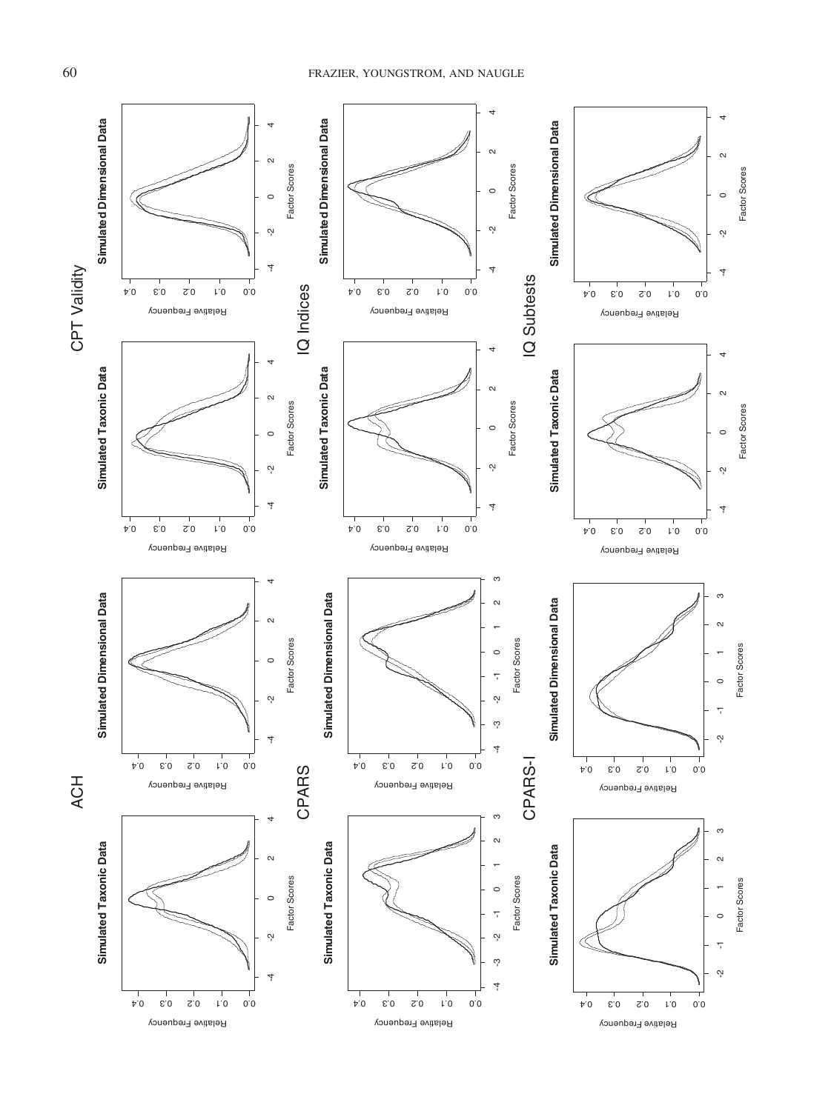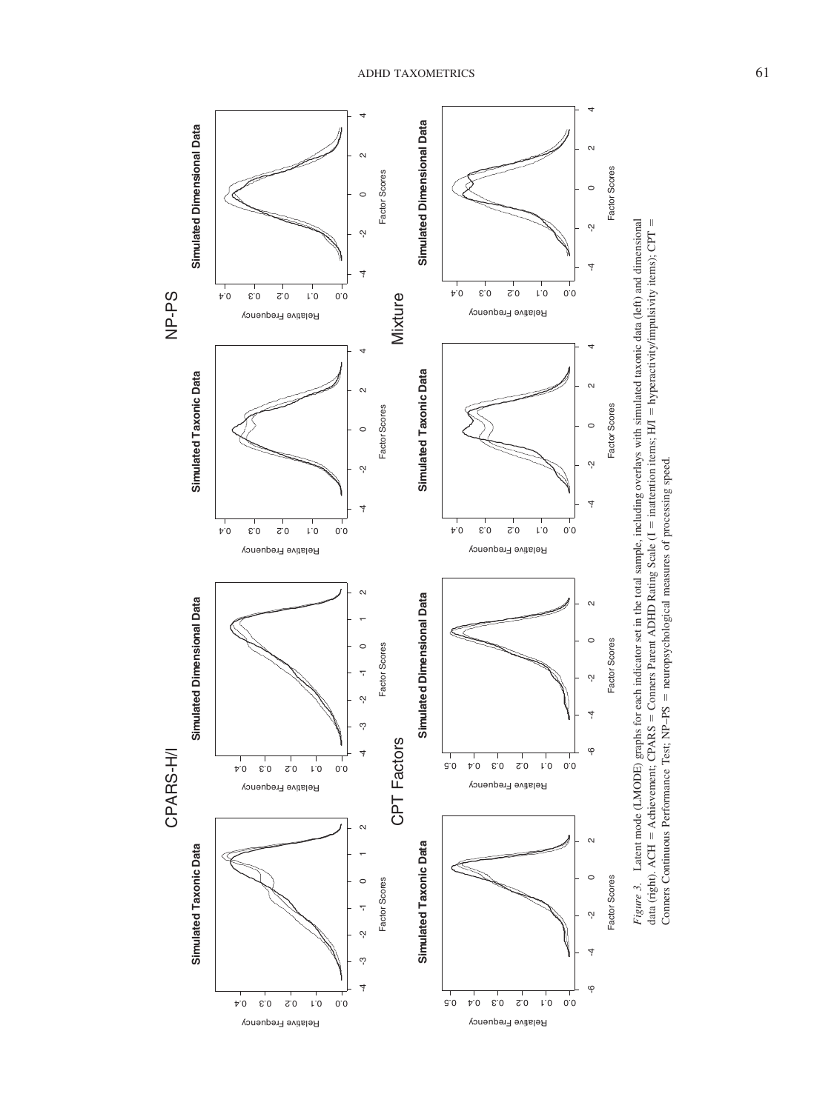

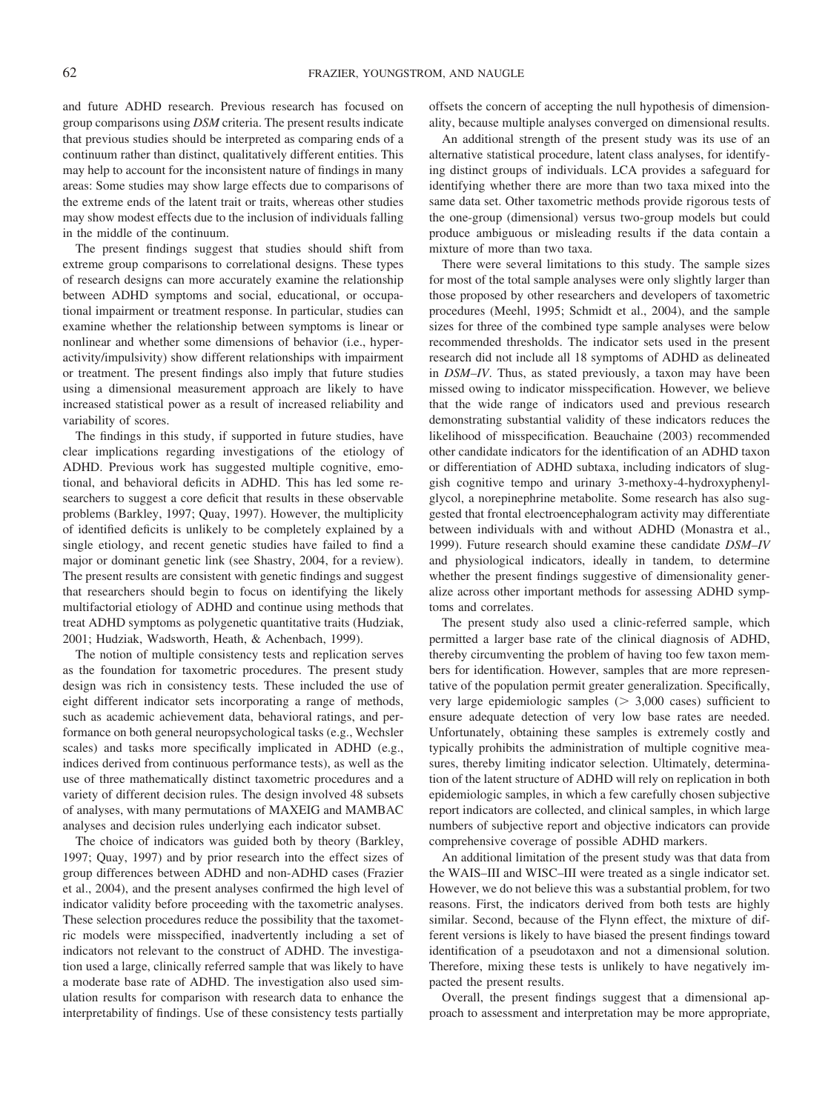and future ADHD research. Previous research has focused on group comparisons using *DSM* criteria. The present results indicate that previous studies should be interpreted as comparing ends of a continuum rather than distinct, qualitatively different entities. This may help to account for the inconsistent nature of findings in many areas: Some studies may show large effects due to comparisons of the extreme ends of the latent trait or traits, whereas other studies may show modest effects due to the inclusion of individuals falling in the middle of the continuum.

The present findings suggest that studies should shift from extreme group comparisons to correlational designs. These types of research designs can more accurately examine the relationship between ADHD symptoms and social, educational, or occupational impairment or treatment response. In particular, studies can examine whether the relationship between symptoms is linear or nonlinear and whether some dimensions of behavior (i.e., hyperactivity/impulsivity) show different relationships with impairment or treatment. The present findings also imply that future studies using a dimensional measurement approach are likely to have increased statistical power as a result of increased reliability and variability of scores.

The findings in this study, if supported in future studies, have clear implications regarding investigations of the etiology of ADHD. Previous work has suggested multiple cognitive, emotional, and behavioral deficits in ADHD. This has led some researchers to suggest a core deficit that results in these observable problems (Barkley, 1997; Quay, 1997). However, the multiplicity of identified deficits is unlikely to be completely explained by a single etiology, and recent genetic studies have failed to find a major or dominant genetic link (see Shastry, 2004, for a review). The present results are consistent with genetic findings and suggest that researchers should begin to focus on identifying the likely multifactorial etiology of ADHD and continue using methods that treat ADHD symptoms as polygenetic quantitative traits (Hudziak, 2001; Hudziak, Wadsworth, Heath, & Achenbach, 1999).

The notion of multiple consistency tests and replication serves as the foundation for taxometric procedures. The present study design was rich in consistency tests. These included the use of eight different indicator sets incorporating a range of methods, such as academic achievement data, behavioral ratings, and performance on both general neuropsychological tasks (e.g., Wechsler scales) and tasks more specifically implicated in ADHD (e.g., indices derived from continuous performance tests), as well as the use of three mathematically distinct taxometric procedures and a variety of different decision rules. The design involved 48 subsets of analyses, with many permutations of MAXEIG and MAMBAC analyses and decision rules underlying each indicator subset.

The choice of indicators was guided both by theory (Barkley, 1997; Quay, 1997) and by prior research into the effect sizes of group differences between ADHD and non-ADHD cases (Frazier et al., 2004), and the present analyses confirmed the high level of indicator validity before proceeding with the taxometric analyses. These selection procedures reduce the possibility that the taxometric models were misspecified, inadvertently including a set of indicators not relevant to the construct of ADHD. The investigation used a large, clinically referred sample that was likely to have a moderate base rate of ADHD. The investigation also used simulation results for comparison with research data to enhance the interpretability of findings. Use of these consistency tests partially

offsets the concern of accepting the null hypothesis of dimensionality, because multiple analyses converged on dimensional results.

An additional strength of the present study was its use of an alternative statistical procedure, latent class analyses, for identifying distinct groups of individuals. LCA provides a safeguard for identifying whether there are more than two taxa mixed into the same data set. Other taxometric methods provide rigorous tests of the one-group (dimensional) versus two-group models but could produce ambiguous or misleading results if the data contain a mixture of more than two taxa.

There were several limitations to this study. The sample sizes for most of the total sample analyses were only slightly larger than those proposed by other researchers and developers of taxometric procedures (Meehl, 1995; Schmidt et al., 2004), and the sample sizes for three of the combined type sample analyses were below recommended thresholds. The indicator sets used in the present research did not include all 18 symptoms of ADHD as delineated in *DSM–IV*. Thus, as stated previously, a taxon may have been missed owing to indicator misspecification. However, we believe that the wide range of indicators used and previous research demonstrating substantial validity of these indicators reduces the likelihood of misspecification. Beauchaine (2003) recommended other candidate indicators for the identification of an ADHD taxon or differentiation of ADHD subtaxa, including indicators of sluggish cognitive tempo and urinary 3-methoxy-4-hydroxyphenylglycol, a norepinephrine metabolite. Some research has also suggested that frontal electroencephalogram activity may differentiate between individuals with and without ADHD (Monastra et al., 1999). Future research should examine these candidate *DSM–IV* and physiological indicators, ideally in tandem, to determine whether the present findings suggestive of dimensionality generalize across other important methods for assessing ADHD symptoms and correlates.

The present study also used a clinic-referred sample, which permitted a larger base rate of the clinical diagnosis of ADHD, thereby circumventing the problem of having too few taxon members for identification. However, samples that are more representative of the population permit greater generalization. Specifically, very large epidemiologic samples  $( > 3,000 \text{ cases})$  sufficient to ensure adequate detection of very low base rates are needed. Unfortunately, obtaining these samples is extremely costly and typically prohibits the administration of multiple cognitive measures, thereby limiting indicator selection. Ultimately, determination of the latent structure of ADHD will rely on replication in both epidemiologic samples, in which a few carefully chosen subjective report indicators are collected, and clinical samples, in which large numbers of subjective report and objective indicators can provide comprehensive coverage of possible ADHD markers.

An additional limitation of the present study was that data from the WAIS–III and WISC–III were treated as a single indicator set. However, we do not believe this was a substantial problem, for two reasons. First, the indicators derived from both tests are highly similar. Second, because of the Flynn effect, the mixture of different versions is likely to have biased the present findings toward identification of a pseudotaxon and not a dimensional solution. Therefore, mixing these tests is unlikely to have negatively impacted the present results.

Overall, the present findings suggest that a dimensional approach to assessment and interpretation may be more appropriate,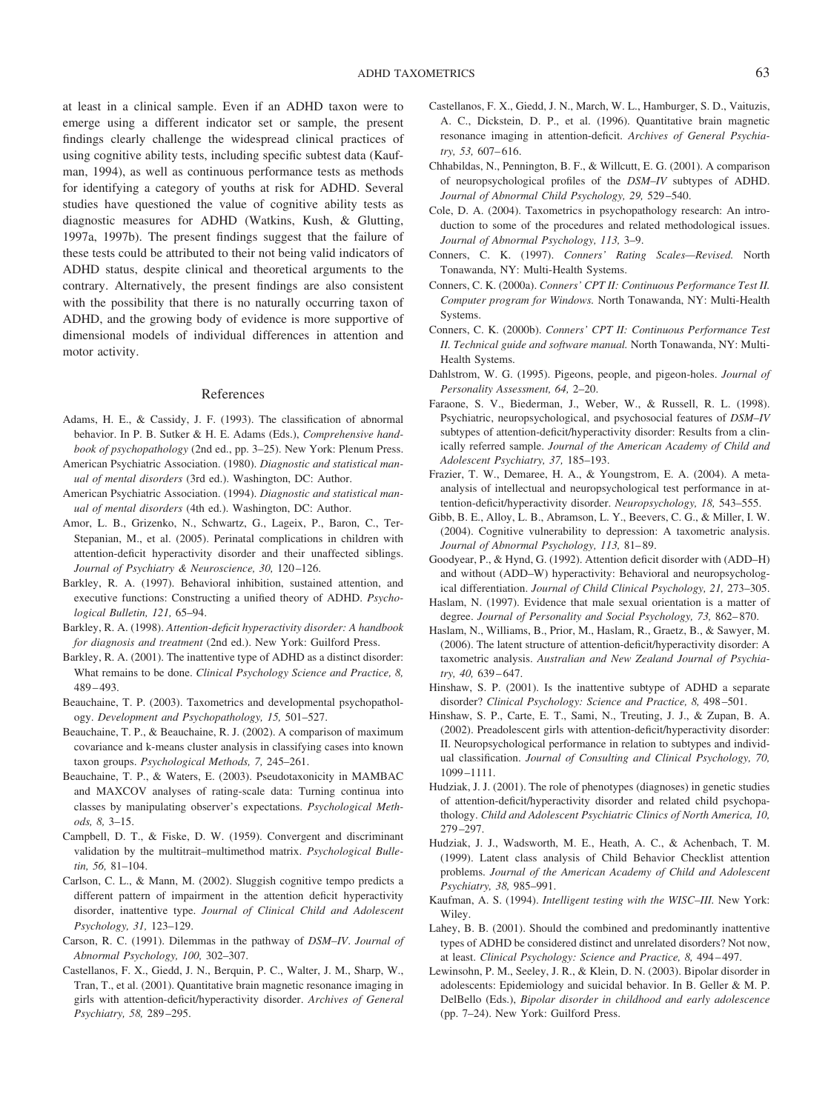at least in a clinical sample. Even if an ADHD taxon were to emerge using a different indicator set or sample, the present findings clearly challenge the widespread clinical practices of using cognitive ability tests, including specific subtest data (Kaufman, 1994), as well as continuous performance tests as methods for identifying a category of youths at risk for ADHD. Several studies have questioned the value of cognitive ability tests as diagnostic measures for ADHD (Watkins, Kush, & Glutting, 1997a, 1997b). The present findings suggest that the failure of these tests could be attributed to their not being valid indicators of ADHD status, despite clinical and theoretical arguments to the contrary. Alternatively, the present findings are also consistent with the possibility that there is no naturally occurring taxon of ADHD, and the growing body of evidence is more supportive of dimensional models of individual differences in attention and motor activity.

#### References

- Adams, H. E., & Cassidy, J. F. (1993). The classification of abnormal behavior. In P. B. Sutker & H. E. Adams (Eds.), *Comprehensive handbook of psychopathology* (2nd ed., pp. 3–25). New York: Plenum Press.
- American Psychiatric Association. (1980). *Diagnostic and statistical manual of mental disorders* (3rd ed.). Washington, DC: Author.
- American Psychiatric Association. (1994). *Diagnostic and statistical manual of mental disorders* (4th ed.). Washington, DC: Author.
- Amor, L. B., Grizenko, N., Schwartz, G., Lageix, P., Baron, C., Ter-Stepanian, M., et al. (2005). Perinatal complications in children with attention-deficit hyperactivity disorder and their unaffected siblings. Journal of Psychiatry & Neuroscience, 30, 120-126.
- Barkley, R. A. (1997). Behavioral inhibition, sustained attention, and executive functions: Constructing a unified theory of ADHD. *Psychological Bulletin, 121,* 65–94.
- Barkley, R. A. (1998). *Attention-deficit hyperactivity disorder: A handbook for diagnosis and treatment* (2nd ed.). New York: Guilford Press.
- Barkley, R. A. (2001). The inattentive type of ADHD as a distinct disorder: What remains to be done. *Clinical Psychology Science and Practice, 8,* 489 – 493.
- Beauchaine, T. P. (2003). Taxometrics and developmental psychopathology. *Development and Psychopathology, 15,* 501–527.
- Beauchaine, T. P., & Beauchaine, R. J. (2002). A comparison of maximum covariance and k-means cluster analysis in classifying cases into known taxon groups. *Psychological Methods, 7,* 245–261.
- Beauchaine, T. P., & Waters, E. (2003). Pseudotaxonicity in MAMBAC and MAXCOV analyses of rating-scale data: Turning continua into classes by manipulating observer's expectations. *Psychological Methods, 8,* 3–15.
- Campbell, D. T., & Fiske, D. W. (1959). Convergent and discriminant validation by the multitrait–multimethod matrix. *Psychological Bulletin, 56,* 81–104.
- Carlson, C. L., & Mann, M. (2002). Sluggish cognitive tempo predicts a different pattern of impairment in the attention deficit hyperactivity disorder, inattentive type. *Journal of Clinical Child and Adolescent Psychology, 31,* 123–129.
- Carson, R. C. (1991). Dilemmas in the pathway of *DSM–IV*. *Journal of Abnormal Psychology, 100,* 302–307.
- Castellanos, F. X., Giedd, J. N., Berquin, P. C., Walter, J. M., Sharp, W., Tran, T., et al. (2001). Quantitative brain magnetic resonance imaging in girls with attention-deficit/hyperactivity disorder. *Archives of General Psychiatry, 58,* 289 –295.
- Castellanos, F. X., Giedd, J. N., March, W. L., Hamburger, S. D., Vaituzis, A. C., Dickstein, D. P., et al. (1996). Quantitative brain magnetic resonance imaging in attention-deficit. *Archives of General Psychiatry, 53,* 607– 616.
- Chhabildas, N., Pennington, B. F., & Willcutt, E. G. (2001). A comparison of neuropsychological profiles of the *DSM–IV* subtypes of ADHD. *Journal of Abnormal Child Psychology, 29,* 529 –540.
- Cole, D. A. (2004). Taxometrics in psychopathology research: An introduction to some of the procedures and related methodological issues. *Journal of Abnormal Psychology, 113,* 3–9.
- Conners, C. K. (1997). *Conners' Rating Scales—Revised.* North Tonawanda, NY: Multi-Health Systems.
- Conners, C. K. (2000a). *Conners' CPT II: Continuous Performance Test II. Computer program for Windows.* North Tonawanda, NY: Multi-Health Systems.
- Conners, C. K. (2000b). *Conners' CPT II: Continuous Performance Test II. Technical guide and software manual.* North Tonawanda, NY: Multi-Health Systems.
- Dahlstrom, W. G. (1995). Pigeons, people, and pigeon-holes. *Journal of Personality Assessment, 64,* 2–20.
- Faraone, S. V., Biederman, J., Weber, W., & Russell, R. L. (1998). Psychiatric, neuropsychological, and psychosocial features of *DSM–IV* subtypes of attention-deficit/hyperactivity disorder: Results from a clinically referred sample. *Journal of the American Academy of Child and Adolescent Psychiatry, 37,* 185–193.
- Frazier, T. W., Demaree, H. A., & Youngstrom, E. A. (2004). A metaanalysis of intellectual and neuropsychological test performance in attention-deficit/hyperactivity disorder. *Neuropsychology, 18,* 543–555.
- Gibb, B. E., Alloy, L. B., Abramson, L. Y., Beevers, C. G., & Miller, I. W. (2004). Cognitive vulnerability to depression: A taxometric analysis. *Journal of Abnormal Psychology, 113,* 81– 89.
- Goodyear, P., & Hynd, G. (1992). Attention deficit disorder with (ADD–H) and without (ADD–W) hyperactivity: Behavioral and neuropsychological differentiation. *Journal of Child Clinical Psychology, 21,* 273–305.
- Haslam, N. (1997). Evidence that male sexual orientation is a matter of degree. *Journal of Personality and Social Psychology, 73, 862-870.*
- Haslam, N., Williams, B., Prior, M., Haslam, R., Graetz, B., & Sawyer, M. (2006). The latent structure of attention-deficit/hyperactivity disorder: A taxometric analysis. *Australian and New Zealand Journal of Psychiatry, 40,* 639 – 647.
- Hinshaw, S. P. (2001). Is the inattentive subtype of ADHD a separate disorder? *Clinical Psychology: Science and Practice, 8,* 498 –501.
- Hinshaw, S. P., Carte, E. T., Sami, N., Treuting, J. J., & Zupan, B. A. (2002). Preadolescent girls with attention-deficit/hyperactivity disorder: II. Neuropsychological performance in relation to subtypes and individual classification. *Journal of Consulting and Clinical Psychology, 70,* 1099 –1111.
- Hudziak, J. J. (2001). The role of phenotypes (diagnoses) in genetic studies of attention-deficit/hyperactivity disorder and related child psychopathology. *Child and Adolescent Psychiatric Clinics of North America, 10,* 279 –297.
- Hudziak, J. J., Wadsworth, M. E., Heath, A. C., & Achenbach, T. M. (1999). Latent class analysis of Child Behavior Checklist attention problems. *Journal of the American Academy of Child and Adolescent Psychiatry, 38,* 985–991.
- Kaufman, A. S. (1994). *Intelligent testing with the WISC–III.* New York: Wiley.
- Lahey, B. B. (2001). Should the combined and predominantly inattentive types of ADHD be considered distinct and unrelated disorders? Not now, at least. *Clinical Psychology: Science and Practice, 8,* 494 – 497.
- Lewinsohn, P. M., Seeley, J. R., & Klein, D. N. (2003). Bipolar disorder in adolescents: Epidemiology and suicidal behavior. In B. Geller & M. P. DelBello (Eds.), *Bipolar disorder in childhood and early adolescence* (pp. 7–24). New York: Guilford Press.